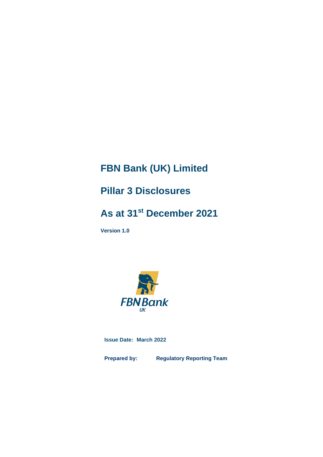# **FBN Bank (UK) Limited**

# **Pillar 3 Disclosures**

# **As at 31st December 2021**

**Version 1.0**



**Issue Date: March 2022**

**Prepared by: Regulatory Reporting Team**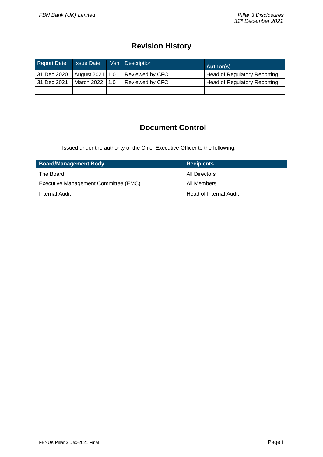# **Revision History**

| <b>Report Date</b> | <b>Issue Date</b> | Vsn Description | Author(s)                    |
|--------------------|-------------------|-----------------|------------------------------|
| 31 Dec 2020        | August 2021   1.0 | Reviewed by CFO | Head of Regulatory Reporting |
| 31 Dec 2021        | March 2022   1.0  | Reviewed by CFO | Head of Regulatory Reporting |
|                    |                   |                 |                              |

# **Document Control**

Issued under the authority of the Chief Executive Officer to the following:

| <b>Board/Management Body</b>         | <b>Recipients</b>      |
|--------------------------------------|------------------------|
| The Board                            | All Directors          |
| Executive Management Committee (EMC) | All Members            |
| Internal Audit                       | Head of Internal Audit |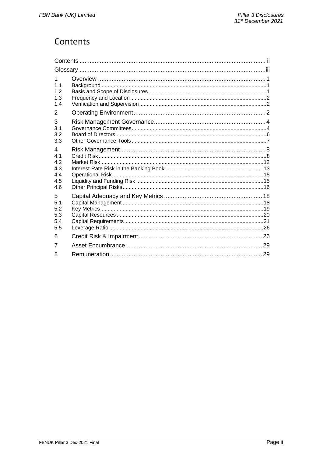# <span id="page-2-0"></span>Contents

| 1.<br>1 <sub>1</sub><br>1.2<br>1.3<br>1.4   |  |
|---------------------------------------------|--|
| 2                                           |  |
| 3<br>3.1<br>3.2<br>3.3                      |  |
| 4<br>4.1<br>4.2<br>4.3<br>4.4<br>4.5<br>4.6 |  |
| 5<br>5.1<br>5.2<br>5.3<br>5.4<br>5.5        |  |
| 6                                           |  |
| 7                                           |  |
| 8                                           |  |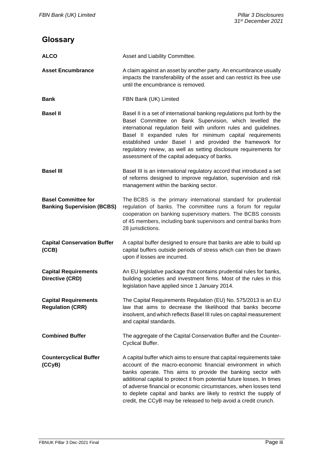# <span id="page-3-0"></span>**Glossary**

| <b>ALCO</b>                                                     | Asset and Liability Committee.                                                                                                                                                                                                                                                                                                                                                                                                                                                             |
|-----------------------------------------------------------------|--------------------------------------------------------------------------------------------------------------------------------------------------------------------------------------------------------------------------------------------------------------------------------------------------------------------------------------------------------------------------------------------------------------------------------------------------------------------------------------------|
| <b>Asset Encumbrance</b>                                        | A claim against an asset by another party. An encumbrance usually<br>impacts the transferability of the asset and can restrict its free use<br>until the encumbrance is removed.                                                                                                                                                                                                                                                                                                           |
| <b>Bank</b>                                                     | FBN Bank (UK) Limited                                                                                                                                                                                                                                                                                                                                                                                                                                                                      |
| <b>Basel II</b>                                                 | Basel II is a set of international banking regulations put forth by the<br>Basel Committee on Bank Supervision, which levelled the<br>international regulation field with uniform rules and guidelines.<br>Basel II expanded rules for minimum capital requirements<br>established under Basel I and provided the framework for<br>regulatory review, as well as setting disclosure requirements for<br>assessment of the capital adequacy of banks.                                       |
| <b>Basel III</b>                                                | Basel III is an international regulatory accord that introduced a set<br>of reforms designed to improve regulation, supervision and risk<br>management within the banking sector.                                                                                                                                                                                                                                                                                                          |
| <b>Basel Committee for</b><br><b>Banking Supervision (BCBS)</b> | The BCBS is the primary international standard for prudential<br>regulation of banks. The committee runs a forum for regular<br>cooperation on banking supervisory matters. The BCBS consists<br>of 45 members, including bank supervisors and central banks from<br>28 jurisdictions.                                                                                                                                                                                                     |
| <b>Capital Conservation Buffer</b><br>(CCB)                     | A capital buffer designed to ensure that banks are able to build up<br>capital buffers outside periods of stress which can then be drawn<br>upon if losses are incurred.                                                                                                                                                                                                                                                                                                                   |
| <b>Capital Requirements</b><br>Directive (CRD)                  | An EU legislative package that contains prudential rules for banks,<br>building societies and investment firms. Most of the rules in this<br>legislation have applied since 1 January 2014.                                                                                                                                                                                                                                                                                                |
| <b>Capital Requirements</b><br><b>Regulation (CRR)</b>          | The Capital Requirements Regulation (EU) No. 575/2013 is an EU<br>law that aims to decrease the likelihood that banks become<br>insolvent, and which reflects Basel III rules on capital measurement<br>and capital standards.                                                                                                                                                                                                                                                             |
| <b>Combined Buffer</b>                                          | The aggregate of the Capital Conservation Buffer and the Counter-<br>Cyclical Buffer.                                                                                                                                                                                                                                                                                                                                                                                                      |
| <b>Countercyclical Buffer</b><br>(CCyB)                         | A capital buffer which aims to ensure that capital requirements take<br>account of the macro-economic financial environment in which<br>banks operate. This aims to provide the banking sector with<br>additional capital to protect it from potential future losses. In times<br>of adverse financial or economic circumstances, when losses tend<br>to deplete capital and banks are likely to restrict the supply of<br>credit, the CCyB may be released to help avoid a credit crunch. |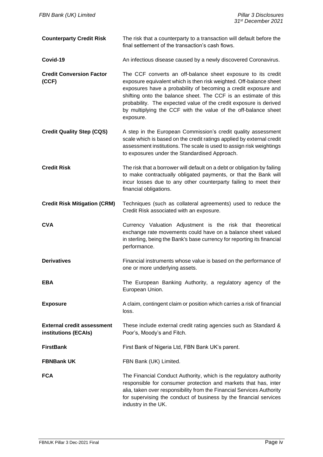| <b>Counterparty Credit Risk</b>                           | The risk that a counterparty to a transaction will default before the<br>final settlement of the transaction's cash flows.                                                                                                                                                                                                                                                                                                  |
|-----------------------------------------------------------|-----------------------------------------------------------------------------------------------------------------------------------------------------------------------------------------------------------------------------------------------------------------------------------------------------------------------------------------------------------------------------------------------------------------------------|
| Covid-19                                                  | An infectious disease caused by a newly discovered Coronavirus.                                                                                                                                                                                                                                                                                                                                                             |
| <b>Credit Conversion Factor</b><br>(CCF)                  | The CCF converts an off-balance sheet exposure to its credit<br>exposure equivalent which is then risk weighted. Off-balance sheet<br>exposures have a probability of becoming a credit exposure and<br>shifting onto the balance sheet. The CCF is an estimate of this<br>probability. The expected value of the credit exposure is derived<br>by multiplying the CCF with the value of the off-balance sheet<br>exposure. |
| <b>Credit Quality Step (CQS)</b>                          | A step in the European Commission's credit quality assessment<br>scale which is based on the credit ratings applied by external credit<br>assessment institutions. The scale is used to assign risk weightings<br>to exposures under the Standardised Approach.                                                                                                                                                             |
| <b>Credit Risk</b>                                        | The risk that a borrower will default on a debt or obligation by failing<br>to make contractually obligated payments, or that the Bank will<br>incur losses due to any other counterparty failing to meet their<br>financial obligations.                                                                                                                                                                                   |
| <b>Credit Risk Mitigation (CRM)</b>                       | Techniques (such as collateral agreements) used to reduce the<br>Credit Risk associated with an exposure.                                                                                                                                                                                                                                                                                                                   |
| <b>CVA</b>                                                | Currency Valuation Adjustment is the risk that theoretical<br>exchange rate movements could have on a balance sheet valued<br>in sterling, being the Bank's base currency for reporting its financial<br>performance.                                                                                                                                                                                                       |
| <b>Derivatives</b>                                        | Financial instruments whose value is based on the performance of<br>one or more underlying assets.                                                                                                                                                                                                                                                                                                                          |
| <b>EBA</b>                                                | The European Banking Authority, a regulatory agency of the<br>European Union.                                                                                                                                                                                                                                                                                                                                               |
| <b>Exposure</b>                                           | A claim, contingent claim or position which carries a risk of financial<br>loss.                                                                                                                                                                                                                                                                                                                                            |
| <b>External credit assessment</b><br>institutions (ECAIs) | These include external credit rating agencies such as Standard &<br>Poor's, Moody's and Fitch.                                                                                                                                                                                                                                                                                                                              |
| <b>FirstBank</b>                                          | First Bank of Nigeria Ltd, FBN Bank UK's parent.                                                                                                                                                                                                                                                                                                                                                                            |
| <b>FBNBank UK</b>                                         | FBN Bank (UK) Limited.                                                                                                                                                                                                                                                                                                                                                                                                      |
| <b>FCA</b>                                                | The Financial Conduct Authority, which is the regulatory authority<br>responsible for consumer protection and markets that has, inter<br>alia, taken over responsibility from the Financial Services Authority<br>for supervising the conduct of business by the financial services<br>industry in the UK.                                                                                                                  |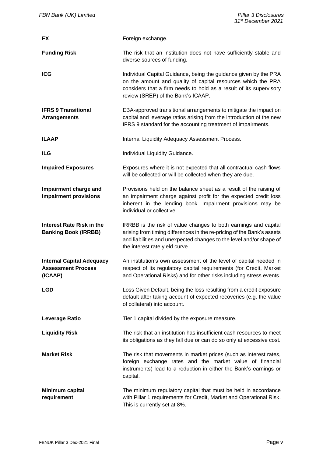| <b>FX</b>                                                                | Foreign exchange.                                                                                                                                                                                                                                  |
|--------------------------------------------------------------------------|----------------------------------------------------------------------------------------------------------------------------------------------------------------------------------------------------------------------------------------------------|
| <b>Funding Risk</b>                                                      | The risk that an institution does not have sufficiently stable and<br>diverse sources of funding.                                                                                                                                                  |
| <b>ICG</b>                                                               | Individual Capital Guidance, being the guidance given by the PRA<br>on the amount and quality of capital resources which the PRA<br>considers that a firm needs to hold as a result of its supervisory<br>review (SREP) of the Bank's ICAAP.       |
| <b>IFRS 9 Transitional</b><br><b>Arrangements</b>                        | EBA-approved transitional arrangements to mitigate the impact on<br>capital and leverage ratios arising from the introduction of the new<br>IFRS 9 standard for the accounting treatment of impairments.                                           |
| <b>ILAAP</b>                                                             | Internal Liquidity Adequacy Assessment Process.                                                                                                                                                                                                    |
| <b>ILG</b>                                                               | Individual Liquidity Guidance.                                                                                                                                                                                                                     |
| <b>Impaired Exposures</b>                                                | Exposures where it is not expected that all contractual cash flows<br>will be collected or will be collected when they are due.                                                                                                                    |
| Impairment charge and<br>impairment provisions                           | Provisions held on the balance sheet as a result of the raising of<br>an impairment charge against profit for the expected credit loss<br>inherent in the lending book. Impairment provisions may be<br>individual or collective.                  |
| <b>Interest Rate Risk in the</b><br><b>Banking Book (IRRBB)</b>          | IRRBB is the risk of value changes to both earnings and capital<br>arising from timing differences in the re-pricing of the Bank's assets<br>and liabilities and unexpected changes to the level and/or shape of<br>the interest rate yield curve. |
| <b>Internal Capital Adequacy</b><br><b>Assessment Process</b><br>(ICAAP) | An institution's own assessment of the level of capital needed in<br>respect of its regulatory capital requirements (for Credit, Market<br>and Operational Risks) and for other risks including stress events.                                     |
| LGD                                                                      | Loss Given Default, being the loss resulting from a credit exposure<br>default after taking account of expected recoveries (e.g. the value<br>of collateral) into account.                                                                         |
| <b>Leverage Ratio</b>                                                    | Tier 1 capital divided by the exposure measure.                                                                                                                                                                                                    |
| <b>Liquidity Risk</b>                                                    | The risk that an institution has insufficient cash resources to meet<br>its obligations as they fall due or can do so only at excessive cost.                                                                                                      |
| <b>Market Risk</b>                                                       | The risk that movements in market prices (such as interest rates,<br>foreign exchange rates and the market value of financial<br>instruments) lead to a reduction in either the Bank's earnings or<br>capital.                                     |
| Minimum capital<br>requirement                                           | The minimum regulatory capital that must be held in accordance<br>with Pillar 1 requirements for Credit, Market and Operational Risk.<br>This is currently set at 8%.                                                                              |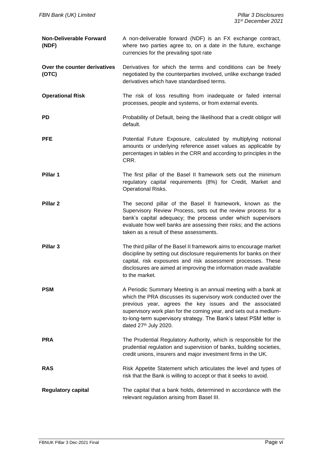| <b>Non-Deliverable Forward</b><br>(NDF) | A non-deliverable forward (NDF) is an FX exchange contract,<br>where two parties agree to, on a date in the future, exchange<br>currencies for the prevailing spot rate                                                                                                                                                                                          |
|-----------------------------------------|------------------------------------------------------------------------------------------------------------------------------------------------------------------------------------------------------------------------------------------------------------------------------------------------------------------------------------------------------------------|
| Over the counter derivatives<br>(OTC)   | Derivatives for which the terms and conditions can be freely<br>negotiated by the counterparties involved, unlike exchange traded<br>derivatives which have standardised terms.                                                                                                                                                                                  |
| <b>Operational Risk</b>                 | The risk of loss resulting from inadequate or failed internal<br>processes, people and systems, or from external events.                                                                                                                                                                                                                                         |
| PD                                      | Probability of Default, being the likelihood that a credit obligor will<br>default.                                                                                                                                                                                                                                                                              |
| <b>PFE</b>                              | Potential Future Exposure, calculated by multiplying notional<br>amounts or underlying reference asset values as applicable by<br>percentages in tables in the CRR and according to principles in the<br>CRR.                                                                                                                                                    |
| Pillar 1                                | The first pillar of the Basel II framework sets out the minimum<br>regulatory capital requirements (8%) for Credit, Market and<br>Operational Risks.                                                                                                                                                                                                             |
| Pillar <sub>2</sub>                     | The second pillar of the Basel II framework, known as the<br>Supervisory Review Process, sets out the review process for a<br>bank's capital adequacy; the process under which supervisors<br>evaluate how well banks are assessing their risks; and the actions<br>taken as a result of these assessments.                                                      |
| Pillar <sub>3</sub>                     | The third pillar of the Basel II framework aims to encourage market<br>discipline by setting out disclosure requirements for banks on their<br>capital, risk exposures and risk assessment processes. These<br>disclosures are aimed at improving the information made available<br>to the market.                                                               |
| <b>PSM</b>                              | A Periodic Summary Meeting is an annual meeting with a bank at<br>which the PRA discusses its supervisory work conducted over the<br>previous year, agrees the key issues and the associated<br>supervisory work plan for the coming year, and sets out a medium-<br>to-long-term supervisory strategy. The Bank's latest PSM letter is<br>dated 27th July 2020. |
| PRA                                     | The Prudential Regulatory Authority, which is responsible for the<br>prudential regulation and supervision of banks, building societies,<br>credit unions, insurers and major investment firms in the UK.                                                                                                                                                        |
| RAS                                     | Risk Appetite Statement which articulates the level and types of<br>risk that the Bank is willing to accept or that it seeks to avoid.                                                                                                                                                                                                                           |
| <b>Regulatory capital</b>               | The capital that a bank holds, determined in accordance with the<br>relevant regulation arising from Basel III.                                                                                                                                                                                                                                                  |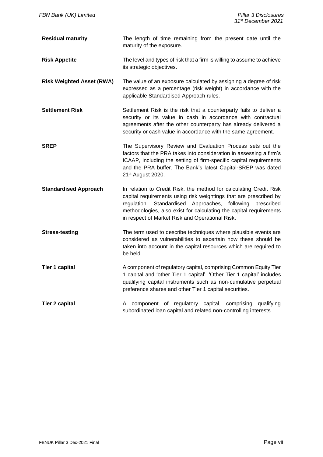| <b>Residual maturity</b>         | The length of time remaining from the present date until the<br>maturity of the exposure.                                                                                                                                                                                                                                     |
|----------------------------------|-------------------------------------------------------------------------------------------------------------------------------------------------------------------------------------------------------------------------------------------------------------------------------------------------------------------------------|
| <b>Risk Appetite</b>             | The level and types of risk that a firm is willing to assume to achieve<br>its strategic objectives.                                                                                                                                                                                                                          |
| <b>Risk Weighted Asset (RWA)</b> | The value of an exposure calculated by assigning a degree of risk<br>expressed as a percentage (risk weight) in accordance with the<br>applicable Standardised Approach rules.                                                                                                                                                |
| <b>Settlement Risk</b>           | Settlement Risk is the risk that a counterparty fails to deliver a<br>security or its value in cash in accordance with contractual<br>agreements after the other counterparty has already delivered a<br>security or cash value in accordance with the same agreement.                                                        |
| <b>SREP</b>                      | The Supervisory Review and Evaluation Process sets out the<br>factors that the PRA takes into consideration in assessing a firm's<br>ICAAP, including the setting of firm-specific capital requirements<br>and the PRA buffer. The Bank's latest Capital-SREP was dated<br>21 <sup>st</sup> August 2020.                      |
| <b>Standardised Approach</b>     | In relation to Credit Risk, the method for calculating Credit Risk<br>capital requirements using risk weightings that are prescribed by<br>regulation. Standardised Approaches, following prescribed<br>methodologies, also exist for calculating the capital requirements<br>in respect of Market Risk and Operational Risk. |
| <b>Stress-testing</b>            | The term used to describe techniques where plausible events are<br>considered as vulnerabilities to ascertain how these should be<br>taken into account in the capital resources which are required to<br>be held.                                                                                                            |
| <b>Tier 1 capital</b>            | A component of regulatory capital, comprising Common Equity Tier<br>1 capital and 'other Tier 1 capital'. 'Other Tier 1 capital' includes<br>qualifying capital instruments such as non-cumulative perpetual<br>preference shares and other Tier 1 capital securities.                                                        |
| <b>Tier 2 capital</b>            | A component of regulatory capital, comprising<br>qualifying<br>subordinated loan capital and related non-controlling interests.                                                                                                                                                                                               |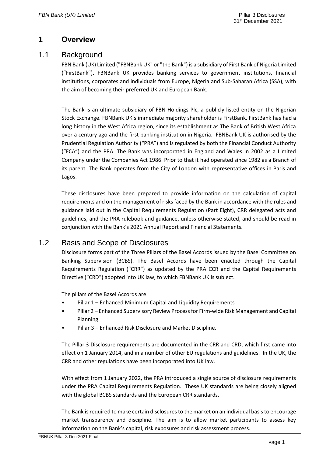# <span id="page-8-0"></span>**1 Overview**

### <span id="page-8-1"></span>1.1 Background

FBN Bank (UK) Limited ("FBNBank UK" or "the Bank") is a subsidiary of First Bank of Nigeria Limited ("FirstBank"). FBNBank UK provides banking services to government institutions, financial institutions, corporates and individuals from Europe, Nigeria and Sub-Saharan Africa (SSA), with the aim of becoming their preferred UK and European Bank.

The Bank is an ultimate subsidiary of FBN Holdings Plc, a publicly listed entity on the Nigerian Stock Exchange. FBNBank UK's immediate majority shareholder is FirstBank. FirstBank has had a long history in the West Africa region, since its establishment as The Bank of British West Africa over a century ago and the first banking institution in Nigeria. FBNBank UK is authorised by the Prudential Regulation Authority ("PRA") and is regulated by both the Financial Conduct Authority ("FCA") and the PRA. The Bank was incorporated in England and Wales in 2002 as a Limited Company under the Companies Act 1986. Prior to that it had operated since 1982 as a Branch of its parent. The Bank operates from the City of London with representative offices in Paris and Lagos.

These disclosures have been prepared to provide information on the calculation of capital requirements and on the management of risks faced by the Bank in accordance with the rules and guidance laid out in the Capital Requirements Regulation (Part Eight), CRR delegated acts and guidelines, and the PRA rulebook and guidance, unless otherwise stated, and should be read in conjunction with the Bank's 2021 Annual Report and Financial Statements.

### <span id="page-8-2"></span>1.2 Basis and Scope of Disclosures

Disclosure forms part of the Three Pillars of the Basel Accords issued by the Basel Committee on Banking Supervision (BCBS). The Basel Accords have been enacted through the Capital Requirements Regulation ("CRR") as updated by the PRA CCR and the Capital Requirements Directive ("CRD") adopted into UK law, to which FBNBank UK is subject.

The pillars of the Basel Accords are:

- Pillar 1 Enhanced Minimum Capital and Liquidity Requirements
- Pillar 2 Enhanced Supervisory Review Process for Firm-wide Risk Management and Capital Planning
- Pillar 3 Enhanced Risk Disclosure and Market Discipline.

The Pillar 3 Disclosure requirements are documented in the CRR and CRD, which first came into effect on 1 January 2014, and in a number of other EU regulations and guidelines. In the UK, the CRR and other regulations have been incorporated into UK law.

With effect from 1 January 2022, the PRA introduced a single source of disclosure requirements under the PRA Capital Requirements Regulation. These UK standards are being closely aligned with the global BCBS standards and the European CRR standards.

The Bank is required to make certain disclosures to the market on an individual basis to encourage market transparency and discipline. The aim is to allow market participants to assess key information on the Bank's capital, risk exposures and risk assessment process.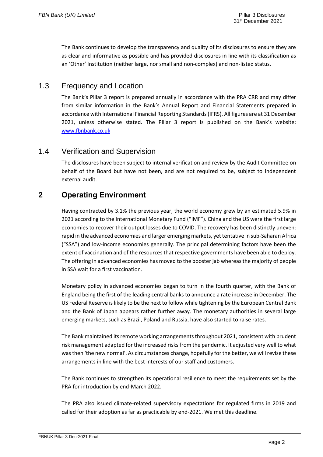The Bank continues to develop the transparency and quality of its disclosures to ensure they are as clear and informative as possible and has provided disclosures in line with its classification as an 'Other' Institution (neither large, nor small and non-complex) and non-listed status.

## <span id="page-9-0"></span>1.3 Frequency and Location

The Bank's Pillar 3 report is prepared annually in accordance with the PRA CRR and may differ from similar information in the Bank's Annual Report and Financial Statements prepared in accordance with International Financial Reporting Standards (IFRS). All figures are at 31 December 2021, unless otherwise stated. The Pillar 3 report is published on the Bank's website: [www.fbnbank.co.uk](http://www.fbnbank.co.uk/)

### <span id="page-9-1"></span>1.4 Verification and Supervision

The disclosures have been subject to internal verification and review by the Audit Committee on behalf of the Board but have not been, and are not required to be, subject to independent external audit.

# <span id="page-9-2"></span>**2 Operating Environment**

Having contracted by 3.1% the previous year, the world economy grew by an estimated 5.9% in 2021 according to the International Monetary Fund ("IMF"). China and the US were the first large economies to recover their output losses due to COVID. The recovery has been distinctly uneven: rapid in the advanced economies and larger emerging markets, yet tentative in sub-Saharan Africa ("SSA") and low-income economies generally. The principal determining factors have been the extent of vaccination and of the resources that respective governments have been able to deploy. The offering in advanced economies has moved to the booster jab whereas the majority of people in SSA wait for a first vaccination.

Monetary policy in advanced economies began to turn in the fourth quarter, with the Bank of England being the first of the leading central banks to announce a rate increase in December. The US Federal Reserve is likely to be the next to follow while tightening by the European Central Bank and the Bank of Japan appears rather further away. The monetary authorities in several large emerging markets, such as Brazil, Poland and Russia, have also started to raise rates.

The Bank maintained its remote working arrangements throughout 2021, consistent with prudent risk management adapted for the increased risks from the pandemic. It adjusted very well to what was then 'the new normal'. As circumstances change, hopefully for the better, we will revise these arrangements in line with the best interests of our staff and customers.

The Bank continues to strengthen its operational resilience to meet the requirements set by the PRA for introduction by end-March 2022.

The PRA also issued climate-related supervisory expectations for regulated firms in 2019 and called for their adoption as far as practicable by end-2021. We met this deadline.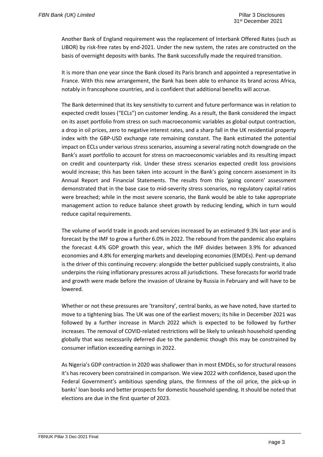Another Bank of England requirement was the replacement of Interbank Offered Rates (such as LIBOR) by risk-free rates by end-2021. Under the new system, the rates are constructed on the basis of overnight deposits with banks. The Bank successfully made the required transition.

It is more than one year since the Bank closed its Paris branch and appointed a representative in France. With this new arrangement, the Bank has been able to enhance its brand across Africa, notably in francophone countries, and is confident that additional benefits will accrue.

The Bank determined that its key sensitivity to current and future performance was in relation to expected credit losses ("ECLs") on customer lending. As a result, the Bank considered the impact on its asset portfolio from stress on such macroeconomic variables as global output contraction, a drop in oil prices, zero to negative interest rates, and a sharp fall in the UK residential property index with the GBP-USD exchange rate remaining constant. The Bank estimated the potential impact on ECLs under various stress scenarios, assuming a several rating notch downgrade on the Bank's asset portfolio to account for stress on macroeconomic variables and its resulting impact on credit and counterparty risk. Under these stress scenarios expected credit loss provisions would increase; this has been taken into account in the Bank's going concern assessment in its Annual Report and Financial Statements. The results from this 'going concern' assessment demonstrated that in the base case to mid-severity stress scenarios, no regulatory capital ratios were breached; while in the most severe scenario, the Bank would be able to take appropriate management action to reduce balance sheet growth by reducing lending, which in turn would reduce capital requirements.

The volume of world trade in goods and services increased by an estimated 9.3% last year and is forecast by the IMF to grow a further 6.0% in 2022. The rebound from the pandemic also explains the forecast 4.4% GDP growth this year, which the IMF divides between 3.9% for advanced economies and 4.8% for emerging markets and developing economies (EMDEs). Pent-up demand is the driver of this continuing recovery: alongside the better publicised supply constraints, it also underpins the rising inflationary pressures across all jurisdictions. These forecasts for world trade and growth were made before the invasion of Ukraine by Russia in February and will have to be lowered.

Whether or not these pressures are 'transitory', central banks, as we have noted, have started to move to a tightening bias. The UK was one of the earliest movers; its hike in December 2021 was followed by a further increase in March 2022 which is expected to be followed by further increases. The removal of COVID-related restrictions will be likely to unleash household spending globally that was necessarily deferred due to the pandemic though this may be constrained by consumer inflation exceeding earnings in 2022.

As Nigeria's GDP contraction in 2020 was shallower than in most EMDEs, so for structural reasons it's has recovery been constrained in comparison. We view 2022 with confidence, based upon the Federal Government's ambitious spending plans, the firmness of the oil price, the pick-up in banks' loan books and better prospects for domestic household spending. It should be noted that elections are due in the first quarter of 2023.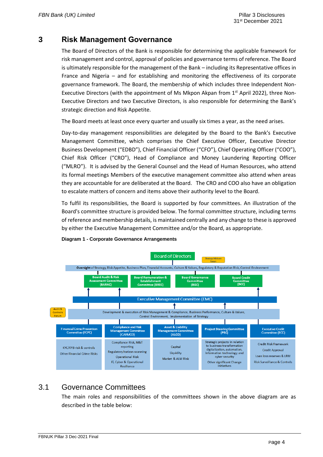## <span id="page-11-0"></span>**3 Risk Management Governance**

The Board of Directors of the Bank is responsible for determining the applicable framework for risk management and control, approval of policies and governance terms of reference. The Board is ultimately responsible for the management of the Bank – including its Representative offices in France and Nigeria – and for establishing and monitoring the effectiveness of its corporate governance framework. The Board, the membership of which includes three Independent Non-Executive Directors (with the appointment of Ms Mkpon Akpan from  $1<sup>st</sup>$  April 2022), three Non-Executive Directors and two Executive Directors, is also responsible for determining the Bank's strategic direction and Risk Appetite.

The Board meets at least once every quarter and usually six times a year, as the need arises.

Day-to-day management responsibilities are delegated by the Board to the Bank's Executive Management Committee, which comprises the Chief Executive Officer, Executive Director Business Development ("EDBD"), Chief Financial Officer ("CFO"), Chief Operating Officer ("COO"), Chief Risk Officer ("CRO"), Head of Compliance and Money Laundering Reporting Officer ("MLRO"). It is advised by the General Counsel and the Head of Human Resources, who attend its formal meetings Members of the executive management committee also attend when areas they are accountable for are deliberated at the Board. The CRO and COO also have an obligation to escalate matters of concern and items above their authority level to the Board.

To fulfil its responsibilities, the Board is supported by four committees. An illustration of the Board's committee structure is provided below. The formal committee structure, including terms of reference and membership details, is maintained centrally and any change to these is approved by either the Executive Management Committee and/or the Board, as appropriate.



### **Diagram 1 - Corporate Governance Arrangements**

### <span id="page-11-1"></span>3.1 Governance Committees

The main roles and responsibilities of the committees shown in the above diagram are as described in the table below: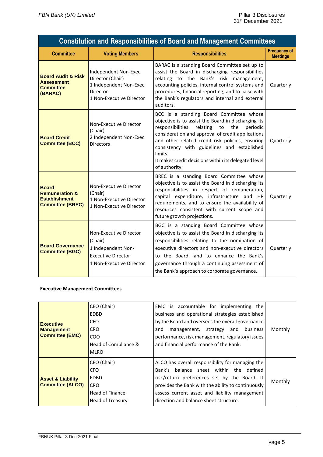| <b>Constitution and Responsibilities of Board and Management Committees</b>                  |                                                                                                                    |                                                                                                                                                                                                                                                                                                                                                                                                     |                                        |  |  |
|----------------------------------------------------------------------------------------------|--------------------------------------------------------------------------------------------------------------------|-----------------------------------------------------------------------------------------------------------------------------------------------------------------------------------------------------------------------------------------------------------------------------------------------------------------------------------------------------------------------------------------------------|----------------------------------------|--|--|
| <b>Committee</b>                                                                             | <b>Voting Members</b>                                                                                              | <b>Responsibilities</b>                                                                                                                                                                                                                                                                                                                                                                             | <b>Frequency of</b><br><b>Meetings</b> |  |  |
| <b>Board Audit &amp; Risk</b><br><b>Assessment</b><br><b>Committee</b><br>(BARAC)            | Independent Non-Exec<br>Director (Chair)<br>1 Independent Non-Exec.<br><b>Director</b><br>1 Non-Executive Director | BARAC is a standing Board Committee set up to<br>assist the Board in discharging responsibilities<br>relating to the Bank's risk management,<br>accounting policies, internal control systems and<br>procedures, financial reporting, and to liaise with<br>the Bank's regulators and internal and external<br>auditors.                                                                            | Quarterly                              |  |  |
| <b>Board Credit</b><br><b>Committee (BCC)</b>                                                | Non-Executive Director<br>(Chair)<br>2 Independent Non-Exec.<br><b>Directors</b>                                   | BCC is a standing Board Committee whose<br>objective is to assist the Board in discharging its<br>responsibilities<br>relating<br>the<br>periodic<br>to<br>consideration and approval of credit applications<br>and other related credit risk policies, ensuring<br>consistency with guidelines and established<br>limits.<br>It makes credit decisions within its delegated level<br>of authority. | Quarterly                              |  |  |
| <b>Board</b><br><b>Remuneration &amp;</b><br><b>Establishment</b><br><b>Committee (BREC)</b> | Non-Executive Director<br>(Chair)<br>1 Non-Executive Director<br>1 Non-Executive Director                          | BREC is a standing Board Committee whose<br>objective is to assist the Board in discharging its<br>responsibilities in respect of remuneration,<br>capital expenditure, infrastructure and HR<br>requirements, and to ensure the availability of<br>resources consistent with current scope and<br>future growth projections.                                                                       | Quarterly                              |  |  |
| <b>Board Governance</b><br><b>Committee (BGC)</b>                                            | Non-Executive Director<br>(Chair)<br>1 Independent Non-<br><b>Executive Director</b><br>1 Non-Executive Director   | BGC is a standing Board Committee whose<br>objective is to assist the Board in discharging its<br>responsibilities relating to the nomination of<br>executive directors and non-executive directors<br>to the Board, and to enhance the Bank's<br>governance through a continuing assessment of<br>the Bank's approach to corporate governance.                                                     | Quarterly                              |  |  |

### **Executive Management Committees**

| <b>Executive</b><br><b>Management</b><br><b>Committee (EMC)</b> | CEO (Chair)<br>EDBD<br>CFO.<br>CRO.<br>COO<br>Head of Compliance &<br><b>MLRO</b>       | EMC is accountable for implementing the<br>business and operational strategies established<br>by the Board and oversees the overall governance<br>business<br>management, strategy and<br>and<br>performance, risk management, regulatory issues<br>and financial performance of the Bank.   | Monthly |
|-----------------------------------------------------------------|-----------------------------------------------------------------------------------------|----------------------------------------------------------------------------------------------------------------------------------------------------------------------------------------------------------------------------------------------------------------------------------------------|---------|
| <b>Asset &amp; Liability</b><br><b>Committee (ALCO)</b>         | CEO (Chair)<br>CFO.<br>EDBD<br><b>CRO</b><br><b>Head of Finance</b><br>Head of Treasury | ALCO has overall responsibility for managing the<br>Bank's balance sheet within the defined<br>risk/return preferences set by the Board. It<br>provides the Bank with the ability to continuously<br>assess current asset and liability management<br>direction and balance sheet structure. | Monthly |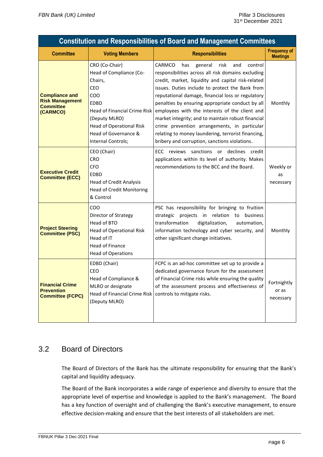| <b>Constitution and Responsibilities of Board and Management Committees</b>     |                                                                                                                                                                                                                                        |                                                                                                                                                                                                                                                                                                                                                                                                                                                                                                                                                                                           |                                        |  |
|---------------------------------------------------------------------------------|----------------------------------------------------------------------------------------------------------------------------------------------------------------------------------------------------------------------------------------|-------------------------------------------------------------------------------------------------------------------------------------------------------------------------------------------------------------------------------------------------------------------------------------------------------------------------------------------------------------------------------------------------------------------------------------------------------------------------------------------------------------------------------------------------------------------------------------------|----------------------------------------|--|
| <b>Committee</b>                                                                | <b>Voting Members</b>                                                                                                                                                                                                                  | <b>Responsibilities</b>                                                                                                                                                                                                                                                                                                                                                                                                                                                                                                                                                                   | <b>Frequency of</b><br><b>Meetings</b> |  |
| <b>Compliance and</b><br><b>Risk Management</b><br><b>Committee</b><br>(CARMCO) | CRO (Co-Chair)<br>Head of Compliance (Co-<br>Chairs,<br>CEO<br>CO <sub>O</sub><br><b>EDBD</b><br><b>Head of Financial Crime Risk</b><br>(Deputy MLRO)<br><b>Head of Operational Risk</b><br>Head of Governance &<br>Internal Controls; | CARMCO<br>general<br>control<br>has<br>risk<br>and<br>responsibilities across all risk domains excluding<br>credit, market, liquidity and capital risk-related<br>issues. Duties include to protect the Bank from<br>reputational damage, financial loss or regulatory<br>penalties by ensuring appropriate conduct by all<br>employees with the interests of the client and<br>market integrity; and to maintain robust financial<br>crime prevention arrangements, in particular<br>relating to money laundering, terrorist financing,<br>bribery and corruption, sanctions violations. | Monthly                                |  |
| <b>Executive Credit</b><br><b>Committee (ECC)</b>                               | CEO (Chair)<br><b>CRO</b><br><b>CFO</b><br><b>EDBD</b><br><b>Head of Credit Analysis</b><br><b>Head of Credit Monitoring</b><br>& Control                                                                                              | ECC reviews sanctions or declines credit<br>applications within its level of authority. Makes<br>recommendations to the BCC and the Board.                                                                                                                                                                                                                                                                                                                                                                                                                                                | Weekly or<br>as<br>necessary           |  |
| <b>Project Steering</b><br><b>Committee (PSC)</b>                               | COO<br>Director of Strategy<br>Head of BTO<br>Head of Operational Risk<br>Head of IT<br><b>Head of Finance</b><br><b>Head of Operations</b>                                                                                            | PSC has responsibility for bringing to fruition<br>strategic projects in relation to business<br>transformation<br>digitalization,<br>automation,<br>information technology and cyber security, and<br>other significant change initiatives.                                                                                                                                                                                                                                                                                                                                              | Monthly                                |  |
| <b>Financial Crime</b><br><b>Prevention</b><br><b>Committee (FCPC)</b>          | EDBD (Chair)<br>CEO<br>Head of Compliance &<br>MLRO or designate<br>Head of Financial Crime Risk<br>(Deputy MLRO)                                                                                                                      | FCPC is an ad-hoc committee set up to provide a<br>dedicated governance forum for the assessment<br>of Financial Crime risks while ensuring the quality<br>of the assessment process and effectiveness of<br>controls to mitigate risks.                                                                                                                                                                                                                                                                                                                                                  | Fortnightly<br>or as<br>necessary      |  |

# <span id="page-13-0"></span>3.2 Board of Directors

The Board of Directors of the Bank has the ultimate responsibility for ensuring that the Bank's capital and liquidity adequacy.

The Board of the Bank incorporates a wide range of experience and diversity to ensure that the appropriate level of expertise and knowledge is applied to the Bank's management. The Board has a key function of oversight and of challenging the Bank's executive management, to ensure effective decision-making and ensure that the best interests of all stakeholders are met.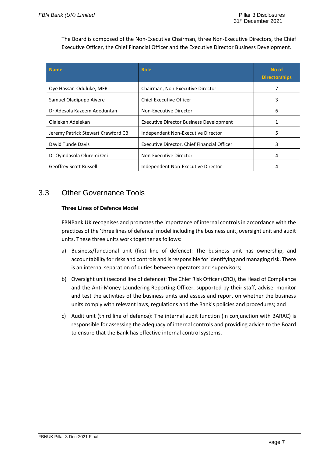The Board is composed of the Non-Executive Chairman, three Non-Executive Directors, the Chief Executive Officer, the Chief Financial Officer and the Executive Director Business Development.

| <b>Name</b>                        | <b>Role</b>                                    | No of<br><b>Directorships</b> |
|------------------------------------|------------------------------------------------|-------------------------------|
| Ove Hassan-Oduluke, MFR            | Chairman, Non-Executive Director               | 7                             |
| Samuel Oladipupo Aiyere            | Chief Executive Officer                        | 3                             |
| Dr Adesola Kazeem Adeduntan        | Non-Executive Director                         | 6                             |
| Olalekan Adelekan                  | <b>Executive Director Business Development</b> |                               |
| Jeremy Patrick Stewart Crawford CB | Independent Non-Executive Director             | 5.                            |
| David Tunde Davis                  | Executive Director, Chief Financial Officer    | 3                             |
| Dr Oyindasola Oluremi Oni          | Non-Executive Director                         | 4                             |
| <b>Geoffrey Scott Russell</b>      | Independent Non-Executive Director             |                               |

# <span id="page-14-0"></span>3.3 Other Governance Tools

### **Three Lines of Defence Model**

FBNBank UK recognises and promotes the importance of internal controls in accordance with the practices of the 'three lines of defence' model including the business unit, oversight unit and audit units. These three units work together as follows:

- a) Business/functional unit (first line of defence): The business unit has ownership, and accountability for risks and controls and isresponsible for identifying and managing risk. There is an internal separation of duties between operators and supervisors;
- b) Oversight unit (second line of defence): The Chief Risk Officer (CRO), the Head of Compliance and the Anti-Money Laundering Reporting Officer, supported by their staff, advise, monitor and test the activities of the business units and assess and report on whether the business units comply with relevant laws, regulations and the Bank's policies and procedures; and
- c) Audit unit (third line of defence): The internal audit function (in conjunction with BARAC) is responsible for assessing the adequacy of internal controls and providing advice to the Board to ensure that the Bank has effective internal control systems.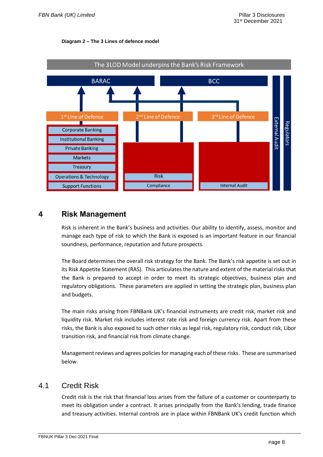



### <span id="page-15-0"></span>**4 Risk Management**

Risk is inherent in the Bank's business and activities. Our ability to identify, assess, monitor and manage each type of risk to which the Bank is exposed is an important feature in our financial soundness, performance, reputation and future prospects.

The Board determines the overall risk strategy for the Bank. The Bank's risk appetite is set out in its Risk Appetite Statement (RAS). This articulates the nature and extent of the material risks that the Bank is prepared to accept in order to meet its strategic objectives, business plan and regulatory obligations. These parameters are applied in setting the strategic plan, business plan and budgets.

The main risks arising from FBNBank UK's financial instruments are credit risk, market risk and liquidity risk. Market risk includes interest rate risk and foreign currency risk. Apart from these risks, the Bank is also exposed to such other risks as legal risk, regulatory risk, conduct risk, Libor transition risk, and financial risk from climate change.

Management reviews and agrees policies for managing each of these risks. These are summarised below.

### <span id="page-15-1"></span>4.1 Credit Risk

Credit risk is the risk that financial loss arises from the failure of a customer or counterparty to meet its obligation under a contract. It arises principally from the Bank's lending, trade finance and treasury activities. Internal controls are in place within FBNBank UK's credit function which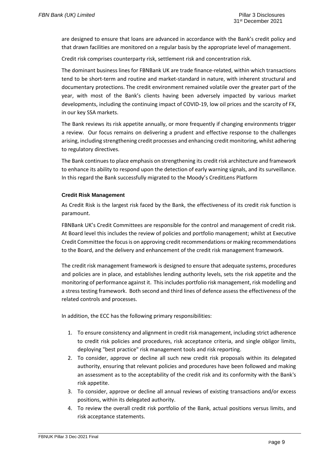are designed to ensure that loans are advanced in accordance with the Bank's credit policy and that drawn facilities are monitored on a regular basis by the appropriate level of management.

Credit risk comprises counterparty risk, settlement risk and concentration risk.

The dominant business lines for FBNBank UK are trade finance-related, within which transactions tend to be short-term and routine and market-standard in nature, with inherent structural and documentary protections. The credit environment remained volatile over the greater part of the year, with most of the Bank's clients having been adversely impacted by various market developments, including the continuing impact of COVID-19, low oil prices and the scarcity of FX, in our key SSA markets.

The Bank reviews its risk appetite annually, or more frequently if changing environments trigger a review. Our focus remains on delivering a prudent and effective response to the challenges arising, including strengthening credit processes and enhancing credit monitoring, whilst adhering to regulatory directives.

The Bank continues to place emphasis on strengthening its credit risk architecture and framework to enhance its ability to respond upon the detection of early warning signals, and its surveillance. In this regard the Bank successfully migrated to the Moody's CreditLens Platform

### **Credit Risk Management**

As Credit Risk is the largest risk faced by the Bank, the effectiveness of its credit risk function is paramount.

FBNBank UK's Credit Committees are responsible for the control and management of credit risk. At Board level this includes the review of policies and portfolio management; whilst at Executive Credit Committee the focusis on approving credit recommendations or making recommendations to the Board, and the delivery and enhancement of the credit risk management framework.

The credit risk management framework is designed to ensure that adequate systems, procedures and policies are in place, and establishes lending authority levels, sets the risk appetite and the monitoring of performance against it. This includes portfolio risk management, risk modelling and a stress testing framework. Both second and third lines of defence assess the effectiveness of the related controls and processes.

In addition, the ECC has the following primary responsibilities:

- 1. To ensure consistency and alignment in credit risk management, including strict adherence to credit risk policies and procedures, risk acceptance criteria, and single obligor limits, deploying "best practice" risk management tools and risk reporting.
- 2. To consider, approve or decline all such new credit risk proposals within its delegated authority, ensuring that relevant policies and procedures have been followed and making an assessment as to the acceptability of the credit risk and its conformity with the Bank's risk appetite.
- 3. To consider, approve or decline all annual reviews of existing transactions and/or excess positions, within its delegated authority.
- 4. To review the overall credit risk portfolio of the Bank, actual positions versus limits, and risk acceptance statements.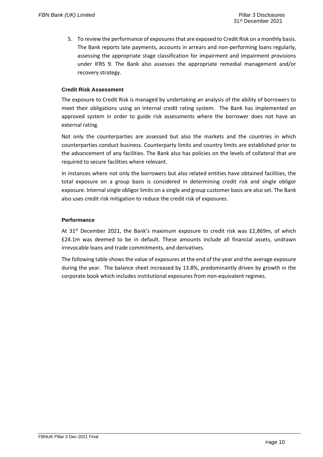5. To review the performance of exposures that are exposed to Credit Risk on a monthly basis. The Bank reports late payments, accounts in arrears and non-performing loans regularly, assessing the appropriate stage classification for impairment and impairment provisions under IFRS 9. The Bank also assesses the appropriate remedial management and/or recovery strategy.

### **Credit Risk Assessment**

The exposure to Credit Risk is managed by undertaking an analysis of the ability of borrowers to meet their obligations using an internal credit rating system. The Bank has implemented an approved system in order to guide risk assessments where the borrower does not have an external rating.

Not only the counterparties are assessed but also the markets and the countries in which counterparties conduct business. Counterparty limits and country limits are established prior to the advancement of any facilities. The Bank also has policies on the levels of collateral that are required to secure facilities where relevant.

In instances where not only the borrowers but also related entities have obtained facilities, the total exposure on a group basis is considered in determining credit risk and single obligor exposure. Internal single obligor limits on a single and group customer basis are also set. The Bank also uses credit risk mitigation to reduce the credit risk of exposures.

### **Performance**

At 31<sup>st</sup> December 2021, the Bank's maximum exposure to credit risk was £2,869m, of which £24.1m was deemed to be in default. These amounts include all financial assets, undrawn irrevocable loans and trade commitments, and derivatives.

The following table shows the value of exposures at the end of the year and the average exposure during the year. The balance sheet increased by 13.8%, predominantly driven by growth in the corporate book which includes institutional exposures from non-equivalent regimes.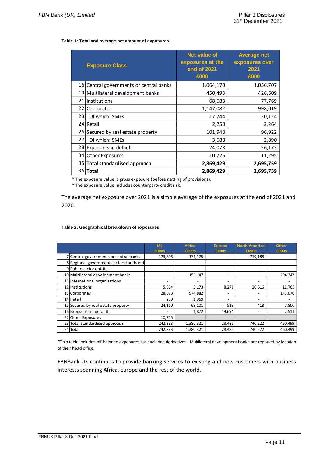#### **Table 1: Total and average net amount of exposures**

|                 | <b>Exposure Class</b>                | <b>Net value of</b><br>exposures at the<br>end of 2021<br>£000 | <b>Average net</b><br>exposures over<br>2021<br>£000 |
|-----------------|--------------------------------------|----------------------------------------------------------------|------------------------------------------------------|
| 16 <sub>1</sub> | Central governments or central banks | 1,064,170                                                      | 1,056,707                                            |
|                 | 19   Multilateral development banks  | 450,493                                                        | 426,609                                              |
|                 | 21 Institutions                      | 68,683                                                         | 77,769                                               |
| 22              | Corporates                           | 1,147,082                                                      | 998,019                                              |
| 23              | Of which: SMEs                       | 17,744                                                         | 20,124                                               |
|                 | 24 Retail                            | 2,250                                                          | 2,264                                                |
|                 | 26 Secured by real estate property   | 101,948                                                        | 96,922                                               |
| 27              | Of which: SMEs                       | 3,688                                                          | 2,890                                                |
|                 | 28 Exposures in default              | 24,078                                                         | 26,173                                               |
| 34              | <b>Other Exposures</b>               | 10,725                                                         | 11,295                                               |
|                 | 35 Total standardised approach       | 2,869,429                                                      | 2,695,759                                            |
|                 | 36 Total                             | 2,869,429                                                      | 2,695,759                                            |

\* The exposure value is gross exposure (before netting of provisions).

\* The exposure value includes counterparty credit risk.

The average net exposure over 2021 is a simple average of the exposures at the end of 2021 and 2020.

#### **Table 2: Geographical breakdown of exposures**

|                                           | <b>UK</b><br>£000s | <b>Africa</b><br>£000s | <b>Europe</b><br>£000s   | <b>North America</b><br>£000s | <b>Other</b><br>£000s |
|-------------------------------------------|--------------------|------------------------|--------------------------|-------------------------------|-----------------------|
| 7 Central governments or central banks    | 173,806            | 171,175                |                          | 719,188                       |                       |
| 8 Regional governments or local authoriti |                    |                        |                          |                               |                       |
| 9 Public sector entities                  |                    |                        | -                        |                               |                       |
| 10 Multilateral development banks         |                    | 156,147                | -                        |                               | 294,347               |
| 11 International organisations            |                    |                        | $\overline{\phantom{0}}$ |                               |                       |
| 12 Institutions                           | 5,834              | 5,173                  | 8,271                    | 20,616                        | 12,765                |
| 13 Corporates                             | 28,078             | 974,882                | $\overline{\phantom{0}}$ |                               | 143,076               |
| 14 Retail                                 | 280                | 1,969                  | -                        |                               |                       |
| 15 Secured by real estate property        | 24,110             | 69,101                 | 519                      | 418                           | 7,800                 |
| 16 Exposures in default                   |                    | 1,872                  | 19,694                   |                               | 2,511                 |
| 22 Other Exposures                        | 10,725             |                        |                          |                               |                       |
| 23 Total standardised approach            | 242,833            | 1,380,321              | 28,485                   | 740,222                       | 460,499               |
| 24 Total                                  | 242,833            | 1,380,321              | 28,485                   | 740,222                       | 460,499               |

\*This table includes off-balance exposures but excludes derivatives. Multilateral development banks are reported by location of their head office.

FBNBank UK continues to provide banking services to existing and new customers with business interests spanning Africa, Europe and the rest of the world.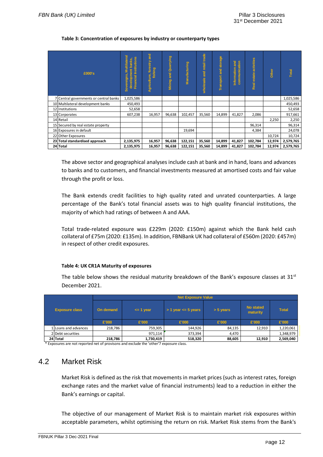#### **Table 3: Concentration of exposures by industry or counterparty types**

| £000's                                 | <b>Multilateral</b><br>stitutions<br>development banks,<br>reigns,<br>cial<br>Finan<br>Sover | Agriculture, forestry and<br>fishing | Quarrying<br>and<br>Mining: | Manufacturing | wholesale and retail trade | storage<br>$\frac{1}{2}$<br>Transport | <b>Pure</b><br>communication<br>Information | Real estate activities | Other  | Total     |
|----------------------------------------|----------------------------------------------------------------------------------------------|--------------------------------------|-----------------------------|---------------|----------------------------|---------------------------------------|---------------------------------------------|------------------------|--------|-----------|
| 7 Central governments or central banks | 1,025,586                                                                                    |                                      |                             |               |                            |                                       |                                             |                        |        | 1,025,586 |
| 10 Multilateral development banks      | 450,493                                                                                      |                                      |                             |               |                            |                                       |                                             |                        |        | 450,493   |
| 12 Institutions                        | 52,658                                                                                       |                                      |                             |               |                            |                                       |                                             |                        |        | 52,658    |
| 13 Corporates                          | 607,238                                                                                      | 16,957                               | 96,638                      | 102,457       | 35,560                     | 14,899                                | 41,827                                      | 2,086                  |        | 917,661   |
| 14 Retail                              |                                                                                              |                                      |                             |               |                            |                                       |                                             |                        | 2,250  | 2,250     |
| 15 Secured by real estate property     |                                                                                              |                                      |                             |               |                            |                                       |                                             | 96,314                 |        | 96,314    |
| 16 Exposures in default                |                                                                                              |                                      |                             | 19,694        |                            |                                       |                                             | 4,384                  |        | 24,078    |
| 22 Other Exposures                     |                                                                                              |                                      |                             |               |                            |                                       |                                             |                        | 10,724 | 10,724    |
| 23 Total standardised approach         | 2,135,975                                                                                    | 16,957                               | 96,638                      | 122,151       | 35,560                     | 14,899                                | 41,827                                      | 102,784                | 12,974 | 2,579,765 |
| 24 Total                               | 2,135,975                                                                                    | 16,957                               | 96,638                      | 122,151       | 35,560                     | 14,899                                | 41,827                                      | 102,784                | 12,974 | 2,579,765 |

The above sector and geographical analyses include cash at bank and in hand, loans and advances to banks and to customers, and financial investments measured at amortised costs and fair value through the profit or loss.

The Bank extends credit facilities to high quality rated and unrated counterparties. A large percentage of the Bank's total financial assets was to high quality financial institutions, the majority of which had ratings of between A and AAA.

Total trade-related exposure was £229m (2020: £150m) against which the Bank held cash collateral of £75m (2020: £135m). In addition, FBNBank UK had collateral of £560m (2020: £457m) in respect of other credit exposures.

#### **Table 4: UK CR1A Maturity of exposures**

The table below shows the residual maturity breakdown of the Bank's exposure classes at  $31<sup>st</sup>$ December 2021.

|                       |                     | <b>Net Exposure Value</b> |                                            |         |             |                              |              |  |  |  |
|-----------------------|---------------------|---------------------------|--------------------------------------------|---------|-------------|------------------------------|--------------|--|--|--|
| <b>Exposure class</b> |                     | On demand                 | $> 1$ year $\leq 5$ years<br>$\leq$ 1 year |         | $> 5$ years | <b>No stated</b><br>maturity | <b>Total</b> |  |  |  |
|                       |                     | £'000                     | £'000                                      | £'000   | £'000       | £'000                        | £'000        |  |  |  |
|                       | LLoans and advances | 218.786                   | 759.305                                    | 144.926 | 84,135      | 12,910                       | 1,220,061    |  |  |  |
|                       | 2 Debt securities   |                           | 971.114                                    | 373,394 | 4,470       |                              | 1,348,979    |  |  |  |
|                       | 24 Total            | 218,786                   | 1,730,419                                  | 518,320 | 88,605      | 12,910                       | 2,569,040    |  |  |  |

<span id="page-19-0"></span>\* Exposures are not reported net of provisons and exclude the 'other'7 exposure class.

### 4.2 Market Risk

Market Risk is defined as the risk that movements in market prices (such as interest rates, foreign exchange rates and the market value of financial instruments) lead to a reduction in either the Bank's earnings or capital.

The objective of our management of Market Risk is to maintain market risk exposures within acceptable parameters, whilst optimising the return on risk. Market Risk stems from the Bank's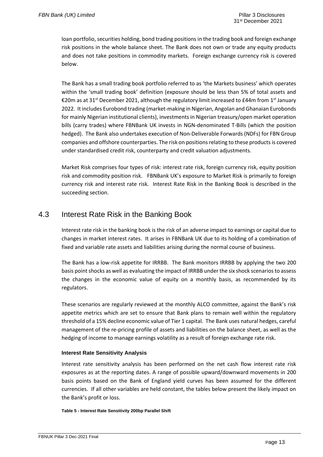loan portfolio, securities holding, bond trading positions in the trading book and foreign exchange risk positions in the whole balance sheet. The Bank does not own or trade any equity products and does not take positions in commodity markets. Foreign exchange currency risk is covered below.

The Bank has a small trading book portfolio referred to as 'the Markets business' which operates within the 'small trading book' definition (exposure should be less than 5% of total assets and €20m as at 31<sup>st</sup> December 2021, although the regulatory limit increased to £44m from 1<sup>st</sup> January 2022. It includes Eurobond trading (market-making in Nigerian, Angolan and Ghanaian Eurobonds for mainly Nigerian institutional clients), investments in Nigerian treasury/open market operation bills (carry trades) where FBNBank UK invests in NGN-denominated T-Bills (which the position hedged). The Bank also undertakes execution of Non-Deliverable Forwards (NDFs) for FBN Group companies and offshore counterparties. The risk on positions relating to these products is covered under standardised credit risk, counterparty and credit valuation adjustments.

Market Risk comprises four types of risk: interest rate risk, foreign currency risk, equity position risk and commodity position risk. FBNBank UK's exposure to Market Risk is primarily to foreign currency risk and interest rate risk. Interest Rate Risk in the Banking Book is described in the succeeding section.

### <span id="page-20-0"></span>4.3 Interest Rate Risk in the Banking Book

Interest rate risk in the banking book is the risk of an adverse impact to earnings or capital due to changes in market interest rates. It arises in FBNBank UK due to its holding of a combination of fixed and variable rate assets and liabilities arising during the normal course of business.

The Bank has a low-risk appetite for IRRBB. The Bank monitors IRRBB by applying the two 200 basis point shocks as well as evaluating the impact of IRRBB under the six shock scenarios to assess the changes in the economic value of equity on a monthly basis, as recommended by its regulators.

These scenarios are regularly reviewed at the monthly ALCO committee, against the Bank's risk appetite metrics which are set to ensure that Bank plans to remain well within the regulatory threshold of a 15% decline economic value of Tier 1 capital. The Bank uses natural hedges, careful management of the re-pricing profile of assets and liabilities on the balance sheet, as well as the hedging of income to manage earnings volatility as a result of foreign exchange rate risk.

### **Interest Rate Sensitivity Analysis**

Interest rate sensitivity analysis has been performed on the net cash flow interest rate risk exposures as at the reporting dates. A range of possible upward/downward movements in 200 basis points based on the Bank of England yield curves has been assumed for the different currencies. If all other variables are held constant, the tables below present the likely impact on the Bank's profit or loss.

**Table 5 - Interest Rate Sensitivity 200bp Parallel Shift**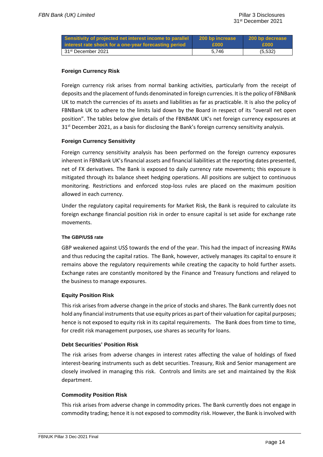| Sensitivity of projected net interest income to parallel 200 bp increase<br>interest rate shock for a one-year forecasting period | E000  | 200 bp decrease<br><b>£000</b> |
|-----------------------------------------------------------------------------------------------------------------------------------|-------|--------------------------------|
| 31st December 2021                                                                                                                | 5.746 | (5,532)                        |

### **Foreign Currency Risk**

Foreign currency risk arises from normal banking activities, particularly from the receipt of deposits and the placement of funds denominated in foreign currencies. It is the policy of FBNBank UK to match the currencies of its assets and liabilities as far as practicable. It is also the policy of FBNBank UK to adhere to the limits laid down by the Board in respect of its "overall net open position". The tables below give details of the FBNBANK UK's net foreign currency exposures at 31<sup>st</sup> December 2021, as a basis for disclosing the Bank's foreign currency sensitivity analysis.

### **Foreign Currency Sensitivity**

Foreign currency sensitivity analysis has been performed on the foreign currency exposures inherent in FBNBank UK's financial assets and financial liabilities at the reporting dates presented, net of FX derivatives. The Bank is exposed to daily currency rate movements; this exposure is mitigated through its balance sheet hedging operations. All positions are subject to continuous monitoring. Restrictions and enforced stop-loss rules are placed on the maximum position allowed in each currency.

Under the regulatory capital requirements for Market Risk, the Bank is required to calculate its foreign exchange financial position risk in order to ensure capital is set aside for exchange rate movements.

### **The GBP/US\$ rate**

GBP weakened against US\$ towards the end of the year. This had the impact of increasing RWAs and thus reducing the capital ratios. The Bank, however, actively manages its capital to ensure it remains above the regulatory requirements while creating the capacity to hold further assets. Exchange rates are constantly monitored by the Finance and Treasury functions and relayed to the business to manage exposures.

### **Equity Position Risk**

This risk arises from adverse change in the price of stocks and shares. The Bank currently does not hold any financial instruments that use equity prices as part of their valuation for capital purposes; hence is not exposed to equity risk in its capital requirements. The Bank does from time to time, for credit risk management purposes, use shares as security for loans.

### **Debt Securities' Position Risk**

The risk arises from adverse changes in interest rates affecting the value of holdings of fixed interest-bearing instruments such as debt securities. Treasury, Risk and Senior management are closely involved in managing this risk. Controls and limits are set and maintained by the Risk department.

### **Commodity Position Risk**

This risk arises from adverse change in commodity prices. The Bank currently does not engage in commodity trading; hence it is not exposed to commodity risk. However, the Bank is involved with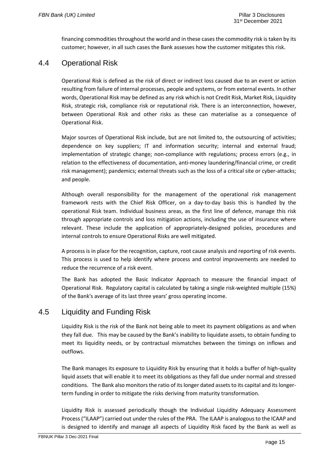financing commodities throughout the world and in these cases the commodity risk is taken by its customer; however, in all such cases the Bank assesses how the customer mitigates this risk.

## <span id="page-22-0"></span>4.4 Operational Risk

Operational Risk is defined as the risk of direct or indirect loss caused due to an event or action resulting from failure of internal processes, people and systems, or from external events. In other words, Operational Risk may be defined as any risk which is not Credit Risk, Market Risk, Liquidity Risk, strategic risk, compliance risk or reputational risk. There is an interconnection, however, between Operational Risk and other risks as these can materialise as a consequence of Operational Risk.

Major sources of Operational Risk include, but are not limited to, the outsourcing of activities; dependence on key suppliers; IT and information security; internal and external fraud; implementation of strategic change; non-compliance with regulations; process errors (e.g., in relation to the effectiveness of documentation, anti-money laundering/financial crime, or credit risk management); pandemics; external threats such as the loss of a critical site or cyber-attacks; and people.

Although overall responsibility for the management of the operational risk management framework rests with the Chief Risk Officer, on a day-to-day basis this is handled by the operational Risk team. Individual business areas, as the first line of defence, manage this risk through appropriate controls and loss mitigation actions, including the use of insurance where relevant. These include the application of appropriately-designed policies, procedures and internal controls to ensure Operational Risks are well mitigated.

A process is in place for the recognition, capture, root cause analysis and reporting of risk events. This process is used to help identify where process and control improvements are needed to reduce the recurrence of a risk event.

The Bank has adopted the Basic Indicator Approach to measure the financial impact of Operational Risk. Regulatory capital is calculated by taking a single risk-weighted multiple (15%) of the Bank's average of its last three years' gross operating income.

# <span id="page-22-1"></span>4.5 Liquidity and Funding Risk

Liquidity Risk is the risk of the Bank not being able to meet its payment obligations as and when they fall due. This may be caused by the Bank's inability to liquidate assets, to obtain funding to meet its liquidity needs, or by contractual mismatches between the timings on inflows and outflows.

The Bank manages its exposure to Liquidity Risk by ensuring that it holds a buffer of high-quality liquid assets that will enable it to meet its obligations as they fall due under normal and stressed conditions. The Bank also monitors the ratio of its longer dated assets to its capital and its longerterm funding in order to mitigate the risks deriving from maturity transformation.

Liquidity Risk is assessed periodically though the Individual Liquidity Adequacy Assessment Process ("ILAAP") carried out under the rules of the PRA. The ILAAP is analogous to the ICAAP and is designed to identify and manage all aspects of Liquidity Risk faced by the Bank as well as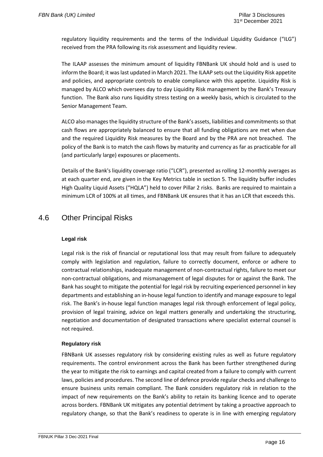regulatory liquidity requirements and the terms of the Individual Liquidity Guidance ("ILG") received from the PRA following its risk assessment and liquidity review.

The ILAAP assesses the minimum amount of liquidity FBNBank UK should hold and is used to inform the Board; it was last updated in March 2021. The ILAAP sets out the Liquidity Risk appetite and policies, and appropriate controls to enable compliance with this appetite. Liquidity Risk is managed by ALCO which oversees day to day Liquidity Risk management by the Bank's Treasury function. The Bank also runs liquidity stress testing on a weekly basis, which is circulated to the Senior Management Team.

ALCO also manages the liquidity structure of the Bank's assets, liabilities and commitments so that cash flows are appropriately balanced to ensure that all funding obligations are met when due and the required Liquidity Risk measures by the Board and by the PRA are not breached. The policy of the Bank is to match the cash flows by maturity and currency as far as practicable for all (and particularly large) exposures or placements.

Details of the Bank's liquidity coverage ratio ("LCR"), presented as rolling 12-monthly averages as at each quarter end, are given in the Key Metrics table in section 5. The liquidity buffer includes High Quality Liquid Assets ("HQLA") held to cover Pillar 2 risks. Banks are required to maintain a minimum LCR of 100% at all times, and FBNBank UK ensures that it has an LCR that exceeds this.

## <span id="page-23-0"></span>4.6 Other Principal Risks

### **Legal risk**

Legal risk is the risk of financial or reputational loss that may result from failure to adequately comply with legislation and regulation, failure to correctly document, enforce or adhere to contractual relationships, inadequate management of non-contractual rights, failure to meet our non-contractual obligations, and mismanagement of legal disputes for or against the Bank. The Bank has sought to mitigate the potential for legal risk by recruiting experienced personnel in key departments and establishing an in-house legal function to identify and manage exposure to legal risk. The Bank's in-house legal function manages legal risk through enforcement of legal policy, provision of legal training, advice on legal matters generally and undertaking the structuring, negotiation and documentation of designated transactions where specialist external counsel is not required.

### **Regulatory risk**

FBNBank UK assesses regulatory risk by considering existing rules as well as future regulatory requirements. The control environment across the Bank has been further strengthened during the year to mitigate the risk to earnings and capital created from a failure to comply with current laws, policies and procedures. The second line of defence provide regular checks and challenge to ensure business units remain compliant. The Bank considers regulatory risk in relation to the impact of new requirements on the Bank's ability to retain its banking licence and to operate across borders. FBNBank UK mitigates any potential detriment by taking a proactive approach to regulatory change, so that the Bank's readiness to operate is in line with emerging regulatory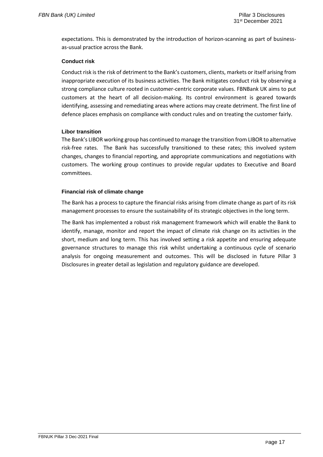expectations. This is demonstrated by the introduction of horizon-scanning as part of businessas-usual practice across the Bank.

### **Conduct risk**

Conduct risk is the risk of detriment to the Bank's customers, clients, markets or itself arising from inappropriate execution of its business activities. The Bank mitigates conduct risk by observing a strong compliance culture rooted in customer-centric corporate values. FBNBank UK aims to put customers at the heart of all decision-making. Its control environment is geared towards identifying, assessing and remediating areas where actions may create detriment. The first line of defence places emphasis on compliance with conduct rules and on treating the customer fairly.

### **Libor transition**

The Bank's LIBOR working group has continued to manage the transition from LIBOR to alternative risk-free rates. The Bank has successfully transitioned to these rates; this involved system changes, changes to financial reporting, and appropriate communications and negotiations with customers. The working group continues to provide regular updates to Executive and Board committees.

### **Financial risk of climate change**

The Bank has a process to capture the financial risks arising from climate change as part of its risk management processes to ensure the sustainability of its strategic objectives in the long term.

The Bank has implemented a robust risk management framework which will enable the Bank to identify, manage, monitor and report the impact of climate risk change on its activities in the short, medium and long term. This has involved setting a risk appetite and ensuring adequate governance structures to manage this risk whilst undertaking a continuous cycle of scenario analysis for ongoing measurement and outcomes. This will be disclosed in future Pillar 3 Disclosures in greater detail as legislation and regulatory guidance are developed.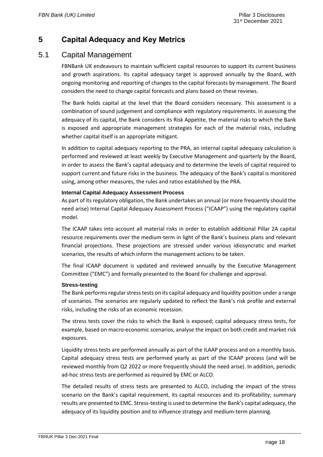# <span id="page-25-0"></span>**5 Capital Adequacy and Key Metrics**

### <span id="page-25-1"></span>5.1 Capital Management

FBNBank UK endeavours to maintain sufficient capital resources to support its current business and growth aspirations. Its capital adequacy target is approved annually by the Board, with ongoing monitoring and reporting of changes to the capital forecasts by management. The Board considers the need to change capital forecasts and plans based on these reviews.

The Bank holds capital at the level that the Board considers necessary. This assessment is a combination of sound judgement and compliance with regulatory requirements. In assessing the adequacy of its capital, the Bank considers its Risk Appetite, the material risks to which the Bank is exposed and appropriate management strategies for each of the material risks, including whether capital itself is an appropriate mitigant.

In addition to capital adequacy reporting to the PRA, an internal capital adequacy calculation is performed and reviewed at least weekly by Executive Management and quarterly by the Board, in order to assess the Bank's capital adequacy and to determine the levels of capital required to support current and future risks in the business. The adequacy of the Bank's capital is monitored using, among other measures, the rules and ratios established by the PRA.

### **Internal Capital Adequacy Assessment Process**

As part of its regulatory obligation, the Bank undertakes an annual (or more frequently should the need arise) Internal Capital Adequacy Assessment Process ("ICAAP") using the regulatory capital model.

The ICAAP takes into account all material risks in order to establish additional Pillar 2A capital resource requirements over the medium-term in light of the Bank's business plans and relevant financial projections. These projections are stressed under various idiosyncratic and market scenarios, the results of which inform the management actions to be taken.

The final ICAAP document is updated and reviewed annually by the Executive Management Committee ("EMC") and formally presented to the Board for challenge and approval.

### **Stress-testing**

The Bank performs regular stress tests on its capital adequacy and liquidity position under a range of scenarios. The scenarios are regularly updated to reflect the Bank's risk profile and external risks, including the risks of an economic recession.

The stress tests cover the risks to which the Bank is exposed; capital adequacy stress tests, for example, based on macro-economic scenarios, analyse the impact on both credit and market risk exposures.

Liquidity stress tests are performed annually as part of the ILAAP process and on a monthly basis. Capital adequacy stress tests are performed yearly as part of the ICAAP process (and will be reviewed monthly from Q2 2022 or more frequently should the need arise). In addition, periodic ad-hoc stress tests are performed as required by EMC or ALCO.

The detailed results of stress tests are presented to ALCO, including the impact of the stress scenario on the Bank's capital requirement, its capital resources and its profitability; summary results are presented to EMC. Stress-testing is used to determine the Bank's capital adequacy, the adequacy of its liquidity position and to influence strategy and medium-term planning.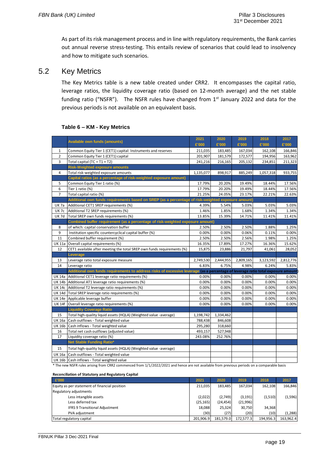As part of its risk management process and in line with regulatory requirements, the Bank carries out annual reverse stress-testing. This entails review of scenarios that could lead to insolvency and how to mitigate such scenarios.

## <span id="page-26-0"></span>5.2 Key Metrics

The Key Metrics table is a new table created under CRR2. It encompasses the capital ratio, leverage ratios, the liquidity coverage ratio (based on 12-month average) and the net stable funding ratio ("NSFR"). The NSFR rules have changed from  $1<sup>st</sup>$  January 2022 and data for the previous periods is not available on an equivalent basis.

|                | <b>Available own funds (amounts)</b>                                                                                                         | 2021      | 2020      | 2019      | 2018      | 2017      |
|----------------|----------------------------------------------------------------------------------------------------------------------------------------------|-----------|-----------|-----------|-----------|-----------|
|                |                                                                                                                                              | £'000     | £'000     | £'000     | £'000     | £'000     |
| $\mathbf{1}$   | Common Equity Tier 1 (CET1) capital: Instruments and reserves                                                                                | 211,035   | 183,485   | 167,034   | 162,108   | 166,846   |
| $\overline{2}$ | Common Equity Tier 1 (CET1) capital                                                                                                          | 201,907   | 181,579   | 172,577   | 194,956   | 163,962   |
| $\overline{3}$ | Total capital (TC = $T1 + T2$ )                                                                                                              | 241,216   | 216,165   | 205,132   | 234,851   | 211,323   |
|                | <b>Risk-Weighted exposure amounts</b>                                                                                                        |           |           |           |           |           |
| 4              | Total risk-weighted exposure amounts                                                                                                         | 1,135,077 | 898,917   | 885,249   | 1,057,318 | 933,755   |
|                | Capital ratios (as a percentage of risk-weighted exposure amount)                                                                            |           |           |           |           |           |
| 5              | Common Equity Tier 1 ratio (%)                                                                                                               | 17.79%    | 20.20%    | 19.49%    | 18.44%    | 17.56%    |
| 6              | Tier 1 ratio (%)                                                                                                                             | 17.79%    | 20.20%    | 19.49%    | 18.44%    | 17.56%    |
| 7              | Total capital ratio (%)                                                                                                                      | 21.25%    | 24.05%    | 23.17%    | 22.21%    | 22.63%    |
|                | Additional own funds requirements based on SREP (as a percentage of risk-weighted exposure amount)                                           |           |           |           |           |           |
| UK 7a          | Additional CET1 SREP requirements (%)                                                                                                        | 4.39%     | 5.54%     | 5.03%     | 5.03%     | 5.03%     |
| <b>UK7c</b>    | Additional T2 SREP requirements (%)                                                                                                          | 1.46%     | 1.85%     | 1.68%     | 1.34%     | 1.34%     |
| <b>UK7d</b>    | Total SREP own funds requirements (%)                                                                                                        | 13.85%    | 15.39%    | 14.71%    | 11.41%    | 11.41%    |
|                | Combined buffer requirement (as a percentage of risk-weighted exposure amount)                                                               |           |           |           |           |           |
| 8              | of which: capital conservation buffer                                                                                                        | 2.50%     | 2.50%     | 2.50%     | 1.88%     | 1.25%     |
| 9              | Institution specific countercyclical capital buffer (%)                                                                                      | 0.00%     | 0.00%     | 0.06%     | 0.11%     | 0.00%     |
| 11             | Combined buffer requirement (%)                                                                                                              | 2.50%     | 2.50%     | 2.56%     | 1.98%     | 1.25%     |
| <b>UK11a</b>   | Overall capital requirements (%)                                                                                                             | 16.35%    | 17.89%    | 17.27%    | 16.36%    | 15.62%    |
| 12             | CET1 available after meeting the total SREP own funds requirements (%)                                                                       | 15,875    | 23,886    | 21,797    | 41,061    | 28,052    |
|                | Leverage                                                                                                                                     |           |           |           |           |           |
| 13             | Leverage ratio total exposure measure                                                                                                        | 2,749,530 | 2,444,955 | 2,809,165 | 3,123,592 | 2,812,776 |
| 14             | Leverage ratio                                                                                                                               | 6.83%     | 6.75%     | 4.98%     | 6.24%     | 5.83%     |
|                | Additional own funds requirements to address risks of excessive leverage (as a percentage of leverage ratio total exposure amount            |           |           |           |           |           |
| UK 14a         | Additional CET1 leverage ratio requirements (%)                                                                                              | 0.00%     | 0.00%     | 0.00%     | 0.00%     | 0.00%     |
|                | UK 14b   Additional AT1 leverage ratio requirements (%)                                                                                      | 0.00%     | 0.00%     | 0.00%     | 0.00%     | 0.00%     |
|                | UK 14c Additional T2 leverage ratio requirements (%)                                                                                         | 0.00%     | 0.00%     | 0.00%     | 0.00%     | 0.00%     |
|                | UK 14d Total SREP leverage ratio requirements (%)                                                                                            | 0.00%     | 0.00%     | 0.00%     | 0.00%     | 0.00%     |
|                | UK 14e Applicable leverage buffer                                                                                                            | 0.00%     | 0.00%     | 0.00%     | 0.00%     | 0.00%     |
| UK 14f         | Overall leverage ratio requirements (%)                                                                                                      | 0.00%     | 0.00%     | 0.00%     | 0.00%     | 0.00%     |
|                | <b>Liquidity Coverage Ratio</b>                                                                                                              |           |           |           |           |           |
| 15             | Total high-quality liquid assets (HQLA) (Weighted value -average)                                                                            | 1,198,742 | 1,334,462 |           |           |           |
| UK 16a         | Cash outflows - Total weighted value                                                                                                         | 788,438   | 846,608   |           |           |           |
| UK 16b         | Cash inflows - Total weighted value                                                                                                          | 295,280   | 318,660   |           |           |           |
| 16             | Total net cash outflows (adjusted value)                                                                                                     | 493,157   | 527,948   |           |           |           |
| 17             | Liquidity coverage ratio (%)                                                                                                                 | 243.08%   | 252.76%   |           |           |           |
|                | Net Stable Funding Ratio*                                                                                                                    |           |           |           |           |           |
| 15             | Total high-quality liquid assets (HQLA) (Weighted value -average)                                                                            |           |           |           |           |           |
|                | UK 16a Cash outflows - Total weighted value                                                                                                  |           |           |           |           |           |
|                | UK 16b Cash inflows - Total weighted value                                                                                                   |           |           |           |           |           |
|                | * The new NCED rules existent from CDD2 commenced from 1/1/2022/2021 and hones are not quailable from provisue periods on a semperable basis |           |           |           |           |           |

### **Table 6 – KM - Key Metrics**

The new NSFR rules arising from CRR2 commenced from 1/1/2022/2021 and hence are not available from previous periods on a comparable basis

#### **Reconciliation of Statutory and Regulatory Capital**

| £'000                                         | 2021      | 2020      | 2019      | 2018      | 2017      |
|-----------------------------------------------|-----------|-----------|-----------|-----------|-----------|
| Equity as per statement of financial position | 211,035   | 183.485   | 167.034   | 162,108   | 166,846   |
| <b>Regulatory adjustments</b>                 |           |           |           |           |           |
| Less intangible assets                        | (2,022)   | (2,749)   | (3, 191)  | (1,510)   | (1,596)   |
| Less deferred tax                             | (25, 165) | (24, 454) | (21,996)  |           |           |
| <b>IFRS 9 Transitional Adjustment</b>         | 18,088    | 25,324    | 30,750    | 34,368    |           |
| PVA adjustment                                | (30)      | (27)      | (20)      | (10)      | (1,288)   |
| Total regulatory capital                      | 201.906.9 | 181.579.0 | 172.577.3 | 194.956.3 | 163,962.4 |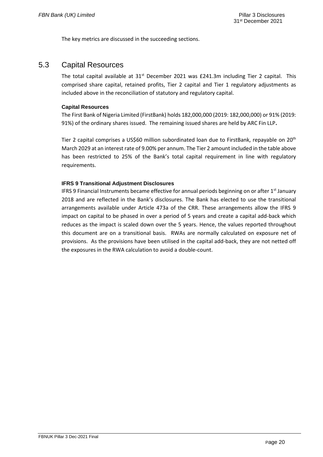The key metrics are discussed in the succeeding sections.

### <span id="page-27-0"></span>5.3 Capital Resources

The total capital available at  $31^{st}$  December 2021 was £241.3m including Tier 2 capital. This comprised share capital, retained profits, Tier 2 capital and Tier 1 regulatory adjustments as included above in the reconciliation of statutory and regulatory capital.

### **Capital Resources**

The First Bank of Nigeria Limited (FirstBank) holds 182,000,000 (2019: 182,000,000) or 91% (2019: 91%) of the ordinary shares issued. The remaining issued shares are held by ARC Fin LLP**.**

Tier 2 capital comprises a US\$60 million subordinated loan due to FirstBank, repayable on 20<sup>th</sup> March 2029 at an interest rate of 9.00% per annum. The Tier 2 amount included in the table above has been restricted to 25% of the Bank's total capital requirement in line with regulatory requirements.

### **IFRS 9 Transitional Adjustment Disclosures**

IFRS 9 Financial Instruments became effective for annual periods beginning on or after  $1<sup>st</sup>$  January 2018 and are reflected in the Bank's disclosures. The Bank has elected to use the transitional arrangements available under Article 473a of the CRR. These arrangements allow the IFRS 9 impact on capital to be phased in over a period of 5 years and create a capital add-back which reduces as the impact is scaled down over the 5 years. Hence, the values reported throughout this document are on a transitional basis. RWAs are normally calculated on exposure net of provisions. As the provisions have been utilised in the capital add-back, they are not netted off the exposures in the RWA calculation to avoid a double-count.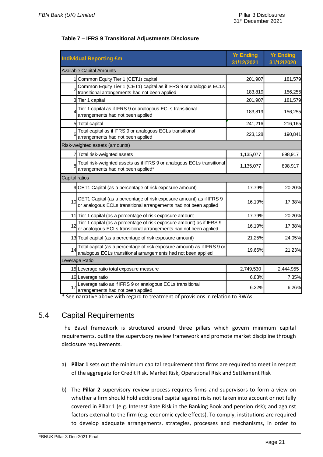| <b>Individual Reporting £m</b>                                                                                         | <b>Yr Ending</b><br>31/12/2021 | <b>Yr Ending</b><br>31/12/2020 |
|------------------------------------------------------------------------------------------------------------------------|--------------------------------|--------------------------------|
| Available Capital Amounts                                                                                              |                                |                                |
| 1 Common Equity Tier 1 (CET1) capital                                                                                  | 201,907                        | 181,579                        |
| 2 Common Equity Tier 1 (CET1) capital as if IFRS 9 or analogous ECLs<br>transitional arrangements had not been applied | 183,819                        | 156,255                        |
| 3 Tier 1 capital                                                                                                       | 201,907                        | 181,579                        |
| Tier 1 capital as if IFRS 9 or analogous ECLs transitional<br>arrangements had not been applied                        | 183,819                        | 156,255                        |
| Total capital<br>51                                                                                                    | 241,216                        | 216,165                        |
|                                                                                                                        |                                |                                |

### **Table 7 – IFRS 9 Transitional Adjustments Disclosure**

|                | 3 Tier 1 capital                                                                                                                          | 201,907   | 181,579   |  |  |  |  |
|----------------|-------------------------------------------------------------------------------------------------------------------------------------------|-----------|-----------|--|--|--|--|
| 4              | Tier 1 capital as if IFRS 9 or analogous ECLs transitional<br>arrangements had not been applied                                           | 183,819   | 156,255   |  |  |  |  |
|                | 5 Total capital                                                                                                                           | 241,216   | 216,165   |  |  |  |  |
| 6              | Total capital as if IFRS 9 or analogous ECLs transitional<br>arrangements had not been applied                                            | 223,128   | 190,841   |  |  |  |  |
|                | Risk-weighted assets (amounts)                                                                                                            |           |           |  |  |  |  |
|                | 7 Total risk-weighted assets                                                                                                              | 1,135,077 | 898,917   |  |  |  |  |
| 8              | Total risk-weighted assets as if IFRS 9 or analogous ECLs transitional<br>arrangements had not been applied*                              | 1,135,077 | 898,917   |  |  |  |  |
| Capital ratios |                                                                                                                                           |           |           |  |  |  |  |
|                | 9 CET1 Capital (as a percentage of risk exposure amount)                                                                                  | 17.79%    | 20.20%    |  |  |  |  |
| 10             | CET1 Capital (as a percentage of risk exposure amount) as if IFRS 9<br>or analogous ECLs transitional arrangements had not been applied   | 16.19%    | 17.38%    |  |  |  |  |
|                | 11 Tier 1 capital (as a percentage of risk exposure amount                                                                                | 17.79%    | 20.20%    |  |  |  |  |
| 12             | Tier 1 capital (as a percentage of risk exposure amount) as if IFRS 9<br>or analogous ECLs transitional arrangements had not been applied | 16.19%    | 17.38%    |  |  |  |  |
|                | 13 Total capital (as a percentage of risk exposure amount)                                                                                | 21.25%    | 24.05%    |  |  |  |  |
| 14             | Total capital (as a percentage of risk exposure amount) as if IFRS 9 or analogous ECLs transitional arrangements had not been applied     | 19.66%    | 21.23%    |  |  |  |  |
| Leverage Ratio |                                                                                                                                           |           |           |  |  |  |  |
|                | 15 Leverage ratio total exposure measure                                                                                                  | 2,749,530 | 2,444,955 |  |  |  |  |
|                | 16 Leverage ratio                                                                                                                         | 6.83%     | 7.35%     |  |  |  |  |
| 17             | Leverage ratio as if IFRS 9 or analogous ECLs transitional<br>arrangements had not been applied                                           | 6.22%     | 6.26%     |  |  |  |  |

\* See narrative above with regard to treatment of provisions in relation to RWAs

### <span id="page-28-0"></span>5.4 Capital Requirements

The Basel framework is structured around three pillars which govern minimum capital requirements, outline the supervisory review framework and promote market discipline through disclosure requirements.

- a) **Pillar 1** sets out the minimum capital requirement that firms are required to meet in respect of the aggregate for Credit Risk, Market Risk, Operational Risk and Settlement Risk
- b) The **Pillar 2** supervisory review process requires firms and supervisors to form a view on whether a firm should hold additional capital against risks not taken into account or not fully covered in Pillar 1 (e.g. Interest Rate Risk in the Banking Book and pension risk); and against factors external to the firm (e.g. economic cycle effects). To comply, institutions are required to develop adequate arrangements, strategies, processes and mechanisms, in order to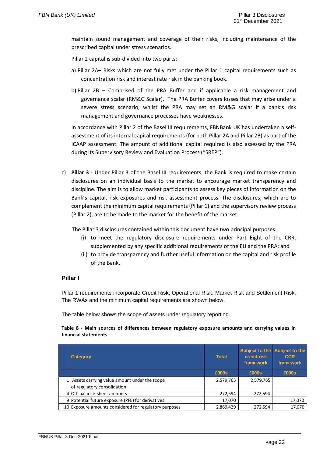maintain sound management and coverage of their risks, including maintenance of the prescribed capital under stress scenarios.

Pillar 2 capital is sub-divided into two parts:

- a) Pillar 2A– Risks which are not fully met under the Pillar 1 capital requirements such as concentration risk and interest rate risk in the banking book.
- b) Pillar 2B Comprised of the PRA Buffer and if applicable a risk management and governance scalar (RM&G Scalar). The PRA Buffer covers losses that may arise under a severe stress scenario, whilst the PRA may set an RM&G scalar if a bank's risk management and governance processes have weaknesses.

In accordance with Pillar 2 of the Basel III requirements, FBNBank UK has undertaken a selfassessment of its internal capital requirements (for both Pillar 2A and Pillar 2B) as part of the ICAAP assessment. The amount of additional capital required is also assessed by the PRA during its Supervisory Review and Evaluation Process ("SREP").

c) **Pillar 3** - Under Pillar 3 of the Basel III requirements, the Bank is required to make certain disclosures on an individual basis to the market to encourage market transparency and discipline. The aim is to allow market participants to assess key pieces of information on the Bank's capital, risk exposures and risk assessment process. The disclosures, which are to complement the minimum capital requirements (Pillar 1) and the supervisory review process (Pillar 2), are to be made to the market for the benefit of the market.

The Pillar 3 disclosures contained within this document have two principal purposes:

- (i) to meet the regulatory disclosure requirements under Part Eight of the CRR, supplemented by any specific additional requirements of the EU and the PRA; and
- (ii) to provide transparency and further useful information on the capital and risk profile of the Bank.

### **Pillar I**

Pillar 1 requirements incorporate Credit Risk, Operational Risk, Market Risk and Settlement Risk. The RWAs and the minimum capital requirements are shown below.

The table below shows the scope of assets under regulatory reporting.

#### **Table 8 - Main sources of differences between regulatory exposure amounts and carrying values in financial statements**

| <b>Category</b>                                        | <b>Total</b> | credit risk<br>framework | Subject to the Subject to the<br><b>CCR</b><br>framework |
|--------------------------------------------------------|--------------|--------------------------|----------------------------------------------------------|
|                                                        | £000s        | £000s                    | £000s                                                    |
| 1 Assets carrying value amount under the scope         | 2,579,765    | 2,579,765                |                                                          |
| of regulatory consolidation                            |              |                          |                                                          |
| 4 Off-balance-sheet amounts                            | 272,594      | 272,594                  |                                                          |
| 9 Potential future exposure (PFE) for derivatives      | 17,070       |                          | 17,070                                                   |
| 10 Exposure amounts considered for regulatory purposes | 2,869,429    | 272,594                  | 17,070                                                   |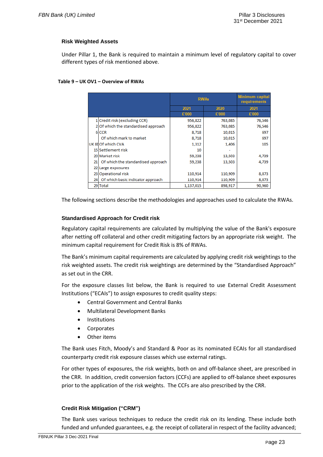### **Risk Weighted Assets**

Under Pillar 1, the Bank is required to maintain a minimum level of regulatory capital to cover different types of risk mentioned above.

#### **Table 9 – UK OV1 – Overview of RWAs**

|     |                                      |           | <b>RWAs</b> |        |  |
|-----|--------------------------------------|-----------|-------------|--------|--|
|     |                                      | 2021      | 2020        | 2021   |  |
|     |                                      | £'000     | £'000       | £'000  |  |
|     | 1 Credit risk (excluding CCR)        | 956,822   | 763,085     | 76,546 |  |
|     | 2 Of which the standardised approach | 956,822   | 763,085     | 76,546 |  |
|     | 6 CCR                                | 8,718     | 10,015      | 697    |  |
|     | Of which mark to market              | 8,718     | 10,015      | 697    |  |
|     | UK 8HOf which CVA                    | 1,312     | 1,406       | 105    |  |
|     | 15 Settlement risk                   | 10        |             |        |  |
|     | 20 Market risk                       | 59,238    | 13,503      | 4,739  |  |
| 21  | Of which the standardised approach   | 59,238    | 13,503      | 4,739  |  |
|     | 22 Large exposures                   |           |             |        |  |
|     | 23 Operational risk                  | 110,914   | 110,909     | 8,873  |  |
| 241 | Of which basic indicator approach    | 110,914   | 110,909     | 8,873  |  |
|     | 29 Total                             | 1,137,015 | 898,917     | 90,960 |  |

The following sections describe the methodologies and approaches used to calculate the RWAs.

### **Standardised Approach for Credit risk**

Regulatory capital requirements are calculated by multiplying the value of the Bank's exposure after netting off collateral and other credit mitigating factors by an appropriate risk weight. The minimum capital requirement for Credit Risk is 8% of RWAs.

The Bank's minimum capital requirements are calculated by applying credit risk weightings to the risk weighted assets. The credit risk weightings are determined by the "Standardised Approach" as set out in the CRR.

For the exposure classes list below, the Bank is required to use External Credit Assessment Institutions ("ECAIs") to assign exposures to credit quality steps:

- Central Government and Central Banks
- Multilateral Development Banks
- Institutions
- Corporates
- Other items

The Bank uses Fitch, Moody's and Standard & Poor as its nominated ECAIs for all standardised counterparty credit risk exposure classes which use external ratings.

For other types of exposures, the risk weights, both on and off-balance sheet, are prescribed in the CRR. In addition, credit conversion factors (CCFs) are applied to off-balance sheet exposures prior to the application of the risk weights. The CCFs are also prescribed by the CRR.

### **Credit Risk Mitigation ("CRM")**

The Bank uses various techniques to reduce the credit risk on its lending. These include both funded and unfunded guarantees, e.g. the receipt of collateral in respect of the facility advanced;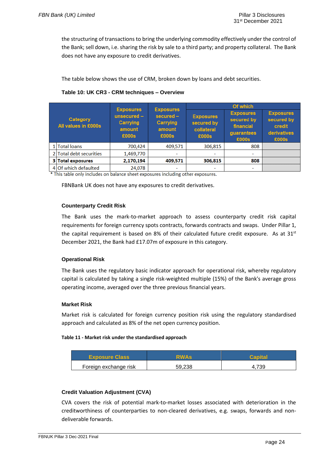the structuring of transactions to bring the underlying commodity effectively under the control of the Bank; sell down, i.e. sharing the risk by sale to a third party; and property collateral. The Bank does not have any exposure to credit derivatives.

The table below shows the use of CRM, broken down by loans and debt securities.

| Table 10: UK CR3 - CRM techniques - Overview |  |  |  |  |
|----------------------------------------------|--|--|--|--|
|----------------------------------------------|--|--|--|--|

|               |                                 | <b>Exposures</b>                                                                                               |         |                                                       | Of which                                                           |                                                                  |
|---------------|---------------------------------|----------------------------------------------------------------------------------------------------------------|---------|-------------------------------------------------------|--------------------------------------------------------------------|------------------------------------------------------------------|
|               | Category<br>All values in £000s | <b>Exposures</b><br>$secured -$<br>$unsecured -$<br>Carrying<br>Carrying<br>amount<br>amount<br>£000s<br>£000s |         | <b>Exposures</b><br>secured by<br>collateral<br>£000s | <b>Exposures</b><br>secured by<br>financial<br>guarantees<br>£000s | <b>Exposures</b><br>secured by<br>credit<br>derivatives<br>£000s |
| 1 Total loans |                                 | 700,424                                                                                                        | 409,571 | 306,815                                               | 808                                                                |                                                                  |
|               | 2 Total debt securities         | 1,469,770                                                                                                      | -       | ۰                                                     |                                                                    |                                                                  |
|               | 3 Total exposures               | 2,170,194                                                                                                      | 409,571 | 306,815                                               | 808                                                                |                                                                  |
|               | 4 Of which defaulted            | 24,078                                                                                                         |         | ۰                                                     | -                                                                  |                                                                  |

\* This table only includes on balance sheet exposures including other exposures.

FBNBank UK does not have any exposures to credit derivatives.

### **Counterparty Credit Risk**

The Bank uses the mark-to-market approach to assess counterparty credit risk capital requirements for foreign currency spots contracts, forwards contracts and swaps. Under Pillar 1, the capital requirement is based on 8% of their calculated future credit exposure. As at  $31<sup>st</sup>$ December 2021, the Bank had £17.07m of exposure in this category.

### **Operational Risk**

The Bank uses the regulatory basic indicator approach for operational risk, whereby regulatory capital is calculated by taking a single risk-weighted multiple (15%) of the Bank's average gross operating income, averaged over the three previous financial years.

### **Market Risk**

Market risk is calculated for foreign currency position risk using the regulatory standardised approach and calculated as 8% of the net open currency position.

### **Table 11 - Market risk under the standardised approach**

| <b>Exposure Class</b> | <b>RWAs</b> | Canita |
|-----------------------|-------------|--------|
| Foreign exchange risk | 59.238      | 700    |

### **Credit Valuation Adjustment (CVA)**

CVA covers the risk of potential mark-to-market losses associated with deterioration in the creditworthiness of counterparties to non-cleared derivatives, e.g. swaps, forwards and nondeliverable forwards.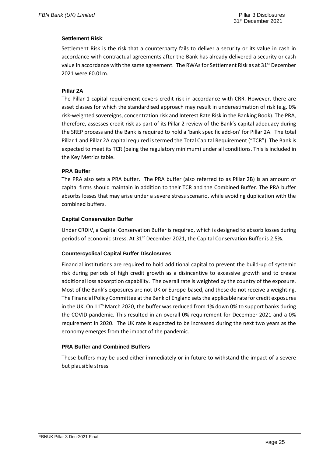### **Settlement Risk**:

Settlement Risk is the risk that a counterparty fails to deliver a security or its value in cash in accordance with contractual agreements after the Bank has already delivered a security or cash value in accordance with the same agreement. The RWAs for Settlement Risk as at  $31^{st}$  December 2021 were £0.01m.

### **Pillar 2A**

The Pillar 1 capital requirement covers credit risk in accordance with CRR. However, there are asset classes for which the standardised approach may result in underestimation of risk (e.g. 0% risk-weighted sovereigns, concentration risk and Interest Rate Risk in the Banking Book). The PRA, therefore, assesses credit risk as part of its Pillar 2 review of the Bank's capital adequacy during the SREP process and the Bank is required to hold a 'bank specific add-on' for Pillar 2A. The total Pillar 1 and Pillar 2A capital required is termed the Total Capital Requirement ("TCR"). The Bank is expected to meet its TCR (being the regulatory minimum) under all conditions. This is included in the Key Metrics table.

### **PRA Buffer**

The PRA also sets a PRA buffer. The PRA buffer (also referred to as Pillar 2B) is an amount of capital firms should maintain in addition to their TCR and the Combined Buffer. The PRA buffer absorbs losses that may arise under a severe stress scenario, while avoiding duplication with the combined buffers.

### **Capital Conservation Buffer**

Under CRDIV, a Capital Conservation Buffer is required, which is designed to absorb losses during periods of economic stress. At 31<sup>st</sup> December 2021, the Capital Conservation Buffer is 2.5%.

### **Countercyclical Capital Buffer Disclosures**

Financial institutions are required to hold additional capital to prevent the build-up of systemic risk during periods of high credit growth as a disincentive to excessive growth and to create additional loss absorption capability. The overall rate is weighted by the country of the exposure. Most of the Bank's exposures are not UK or Europe-based, and these do not receive a weighting. The Financial Policy Committee at the Bank of England sets the applicable rate for credit exposures in the UK. On 11<sup>th</sup> March 2020, the buffer was reduced from 1% down 0% to support banks during the COVID pandemic. This resulted in an overall 0% requirement for December 2021 and a 0% requirement in 2020. The UK rate is expected to be increased during the next two years as the economy emerges from the impact of the pandemic.

### **PRA Buffer and Combined Buffers**

These buffers may be used either immediately or in future to withstand the impact of a severe but plausible stress.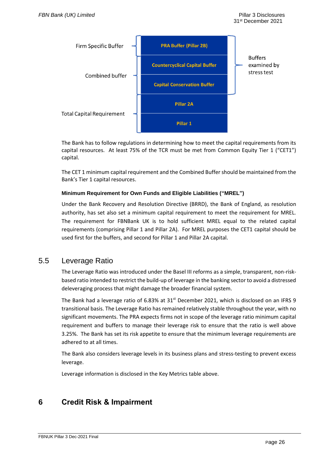

The Bank has to follow regulations in determining how to meet the capital requirements from its capital resources. At least 75% of the TCR must be met from Common Equity Tier 1 ("CET1") capital.

The CET 1 minimum capital requirement and the Combined Buffer should be maintained from the Bank's Tier 1 capital resources.

### **Minimum Requirement for Own Funds and Eligible Liabilities ("MREL")**

Under the Bank Recovery and Resolution Directive (BRRD), the Bank of England, as resolution authority, has set also set a minimum capital requirement to meet the requirement for MREL. The requirement for FBNBank UK is to hold sufficient MREL equal to the related capital requirements (comprising Pillar 1 and Pillar 2A). For MREL purposes the CET1 capital should be used first for the buffers, and second for Pillar 1 and Pillar 2A capital.

### <span id="page-33-0"></span>5.5 Leverage Ratio

The Leverage Ratio was introduced under the Basel III reforms as a simple, transparent, non-riskbased ratio intended to restrict the build-up of leverage in the banking sector to avoid a distressed deleveraging process that might damage the broader financial system.

The Bank had a leverage ratio of 6.83% at 31<sup>st</sup> December 2021, which is disclosed on an IFRS 9 transitional basis. The Leverage Ratio has remained relatively stable throughout the year, with no significant movements. The PRA expects firms not in scope of the leverage ratio minimum capital requirement and buffers to manage their leverage risk to ensure that the ratio is well above 3.25%. The Bank has set its risk appetite to ensure that the minimum leverage requirements are adhered to at all times.

The Bank also considers leverage levels in its business plans and stress-testing to prevent excess leverage.

Leverage information is disclosed in the Key Metrics table above.

# <span id="page-33-1"></span>**6 Credit Risk & Impairment**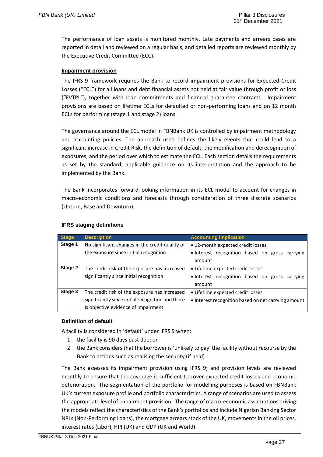The performance of loan assets is monitored monthly. Late payments and arrears cases are reported in detail and reviewed on a regular basis, and detailed reports are reviewed monthly by the Executive Credit Committee (ECC).

### **Impairment provision**

The IFRS 9 framework requires the Bank to record impairment provisions for Expected Credit Losses ("ECL") for all loans and debt financial assets not held at fair value through profit or loss ("FVTPL"), together with loan commitments and financial guarantee contracts. Impairment provisions are based on lifetime ECLs for defaulted or non-performing loans and on 12 month ECLs for performing (stage 1 and stage 2) loans.

The governance around the ECL model in FBNBank UK is controlled by impairment methodology and accounting policies. The approach used defines the likely events that could lead to a significant increase in Credit Risk, the definition of default, the modification and derecognition of exposures, and the period over which to estimate the ECL. Each section details the requirements as set by the standard, applicable guidance on its interpretation and the approach to be implemented by the Bank.

The Bank incorporates forward-looking information in its ECL model to account for changes in macro-economic conditions and forecasts through consideration of three discrete scenarios (Upturn, Base and Downturn).

| <b>Stage</b> | <b>Description</b>                                | <b>Accounting implication</b>                       |
|--------------|---------------------------------------------------|-----------------------------------------------------|
| Stage 1      | No significant changes in the credit quality of   | • 12-month expected credit losses                   |
|              | the exposure since initial recognition            | . Interest recognition based on gross carrying      |
|              |                                                   | amount                                              |
| Stage 2      | The credit risk of the exposure has increased     | • Lifetime expected credit losses                   |
|              | significantly since initial recognition           | . Interest recognition based on gross carrying      |
|              |                                                   | amount                                              |
| Stage 3      | The credit risk of the exposure has increased     | • Lifetime expected credit losses                   |
|              | significantly since initial recognition and there | • Interest recognition based on net carrying amount |
|              | is objective evidence of impairment               |                                                     |

### **IFRS staging definitions**

### **Definition of default**

A facility is considered in 'default' under IFRS 9 when:

- 1. the facility is 90 days past due; or
- 2. the Bank considers that the borrower is 'unlikely to pay' the facility without recourse by the Bank to actions such as realising the security (if held).

The Bank assesses its impairment provision using IFRS 9; and provision levels are reviewed monthly to ensure that the coverage is sufficient to cover expected credit losses and economic deterioration. The segmentation of the portfolio for modelling purposes is based on FBNBank UK's current exposure profile and portfolio characteristics. A range of scenarios are used to assess the appropriate level of impairment provision. The range of macro-economic assumptions driving the models reflect the characteristics of the Bank's portfolios and include Nigerian Banking Sector NPLs (Non-Performing Loans), the mortgage arrears stock of the UK, movements in the oil prices, interest rates (Libor), HPI (UK) and GDP (UK and World).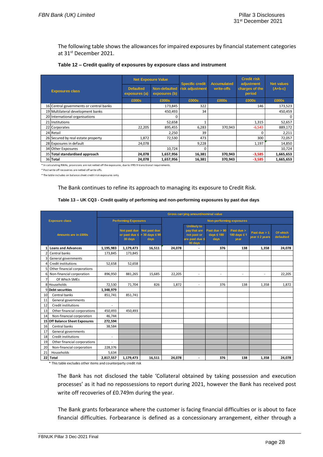The following table shows the allowances for impaired exposures by financial statement categories at 31st December 2021.

|  | Table 12 – Credit quality of exposures by exposure class and instrument |
|--|-------------------------------------------------------------------------|
|--|-------------------------------------------------------------------------|

|                                         | <b>Net Exposure Value</b>         |                                | <b>Specific credit</b> | <b>Accumulated</b> | <b>Credit risk</b><br>adjustment | <b>Net values</b> |
|-----------------------------------------|-----------------------------------|--------------------------------|------------------------|--------------------|----------------------------------|-------------------|
| <b>Exposures class</b>                  | <b>Defaulted</b><br>exposures (a) | Non-defaulted<br>exposures (b) | <b>risk adjustment</b> | write-offs         | charges of the<br>period         | $(A+b-c)$         |
|                                         | £000s                             | £000s                          | £000s                  | £000s              | £000s                            | £000s             |
| 16 Central governments or central banks |                                   | 173,845                        | 322                    |                    | 146                              | 173,523           |
| 19 Multilateral development banks       |                                   | 450,493                        | 34                     |                    |                                  | 450,459           |
| 20 International organisations          |                                   |                                |                        |                    |                                  |                   |
| 21 Institutions                         |                                   | 52,658                         |                        |                    | 1,315                            | 52,657            |
| 22 Corporates                           | 22,205                            | 895,455                        | 6,283                  | 370,943            | $-6,543$                         | 889,172           |
| 24 Retail                               |                                   | 2,250                          | 39                     |                    |                                  | 2,211             |
| 26 Secured by real estate property      | 1,872                             | 72,530                         | 473                    |                    | 300                              | 72,057            |
| 28 Exposures in default                 | 24,078                            |                                | 9,228                  |                    | 1,197                            | 14,850            |
| 34 Other Exposures                      |                                   | 10,724                         | 0                      |                    |                                  | 10,724            |
| 35 Total standardised approach          | 24,078                            | 1,657,956                      | 16,381                 | 370,943            | $-3,585$                         | 1,665,653         |
| 36 Total                                | 24,078                            | 1,657,956                      | 16,381                 | 370.943            | $-3,585$                         | 1,665,653         |

\* In calculating RWAs, provisions are not netted off the exposures, due to IFRS 9 transitional requirements.

\* Post write off recoveries are netted off write offs.

\* The table includes on balance sheet credit risk exposures only.

The Bank continues to refine its approach to managing its exposure to Credit Risk.

#### **Table 13 – UK CQ3 - Credit quality of performing and non-performing exposures by past due days**

|    |                                    |                             |                         |                                                              |                                 | Gross carrying amount/nominal value                                            |                                            |                                    |                                  |                       |
|----|------------------------------------|-----------------------------|-------------------------|--------------------------------------------------------------|---------------------------------|--------------------------------------------------------------------------------|--------------------------------------------|------------------------------------|----------------------------------|-----------------------|
|    | <b>Exposure class</b>              | <b>Performing Exposures</b> |                         |                                                              | <b>Non-performing exposures</b> |                                                                                |                                            |                                    |                                  |                       |
|    | <b>Amounts are in £000s</b>        |                             | Not past due<br>30 days | Not past due<br>or past due $\le$ > 30 days $\le$ 90<br>days |                                 | <b>Unlikely to</b><br>pay that are<br>not past or<br>are past due <<br>90 days | Past due $> 90$<br>days $\leq 180$<br>days | Past due ><br>180 days ≤ 1<br>year | Past due $> 1$<br>year ≤ 2 years | Of which<br>defaulted |
|    | <b>Loans and Advances</b>          | 1,195,983                   | 1,179,473               | 16,511                                                       | 24,078                          |                                                                                | 376                                        | 138                                | 1,358                            | 24,078                |
|    | Central banks                      | 173,845                     | 173,845                 |                                                              |                                 |                                                                                |                                            |                                    |                                  |                       |
|    | General governments                |                             |                         |                                                              |                                 |                                                                                |                                            |                                    |                                  |                       |
|    | Credit institutions                | 52,658                      | 52,658                  |                                                              |                                 |                                                                                |                                            |                                    |                                  |                       |
|    | Other financial corporations       |                             |                         |                                                              |                                 |                                                                                |                                            |                                    |                                  |                       |
| 6  | Non-financial corporation          | 896,950                     | 881,265                 | 15,685                                                       | 22,205                          | $\overline{\phantom{a}}$                                                       | $\overline{\phantom{a}}$                   | $\overline{\phantom{a}}$           | ٠                                | 22,205                |
|    | Of Which SMEs                      |                             |                         |                                                              |                                 |                                                                                |                                            |                                    |                                  |                       |
|    | 8 Households                       | 72,530                      | 71,704                  | 826                                                          | 1,872                           | $\overline{\phantom{a}}$                                                       | 376                                        | 138                                | 1,358                            | 1,872                 |
|    | 9Debt securities                   | 1,348,979                   |                         |                                                              |                                 |                                                                                |                                            |                                    |                                  |                       |
| 10 | Central banks                      | 851,741                     | 851,741                 |                                                              |                                 |                                                                                |                                            |                                    |                                  |                       |
| 11 | General governments                |                             |                         |                                                              |                                 |                                                                                |                                            |                                    |                                  |                       |
| 12 | Credit institutions                | $\overline{a}$              |                         |                                                              |                                 |                                                                                |                                            |                                    |                                  |                       |
| 13 | Other financial corporations       | 450,493                     | 450.493                 |                                                              |                                 |                                                                                |                                            |                                    |                                  |                       |
| 14 | Non-financial corporation          | 46,744                      |                         |                                                              |                                 |                                                                                |                                            |                                    |                                  |                       |
| 15 | <b>Off Balance Sheet Exposures</b> | 272,594                     |                         |                                                              |                                 |                                                                                |                                            |                                    |                                  |                       |
| 16 | Central banks                      | 38,584                      |                         |                                                              |                                 |                                                                                |                                            |                                    |                                  |                       |
| 17 | General governments                |                             |                         |                                                              |                                 |                                                                                |                                            |                                    |                                  |                       |
| 18 | Credit institutions                | ٠                           |                         |                                                              |                                 |                                                                                |                                            |                                    |                                  |                       |
| 19 | Other financial corporations       | ۰                           |                         |                                                              |                                 |                                                                                |                                            |                                    |                                  |                       |
| 20 | Non-financial corporation          | 228,376                     |                         |                                                              |                                 |                                                                                |                                            |                                    |                                  |                       |
| 21 | Households                         | 5,634                       |                         |                                                              |                                 |                                                                                |                                            |                                    |                                  |                       |
| 22 | Total                              | 2,817,557                   | 1,179,473               | 16,511                                                       | 24,078                          | $\blacksquare$                                                                 | 376                                        | 138                                | 1,358                            | 24,078                |

\* This table excludes other items and counterparty credit risk

The Bank has not disclosed the table 'Collateral obtained by taking possession and execution processes' as it had no repossessions to report during 2021, however the Bank has received post write off recoveries of £0.749m during the year.

The Bank grants forbearance where the customer is facing financial difficulties or is about to face financial difficulties. Forbearance is defined as a concessionary arrangement, either through a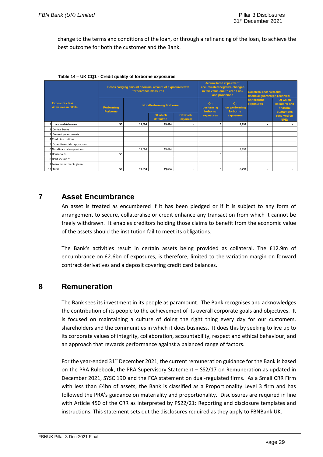change to the terms and conditions of the loan, or through a refinancing of the loan, to achieve the best outcome for both the customer and the Bank.

|                                              | Gross carrying amount / nominal amount of exposures with<br>forbearance measures |        | Accumulated impairment,<br>accumulated negative changes<br>in fair value due to credit risk<br>and provisions |                             | <b>Collateral received and</b><br>financial guarantees received<br>Of which<br>on forborne |           |                                           |                            |
|----------------------------------------------|----------------------------------------------------------------------------------|--------|---------------------------------------------------------------------------------------------------------------|-----------------------------|--------------------------------------------------------------------------------------------|-----------|-------------------------------------------|----------------------------|
| <b>Exposure class</b><br>All values in £000s | Performing<br><b>Forborne</b>                                                    |        | <b>Non-Performing Forborne</b>                                                                                |                             | On<br>On<br>exposures<br>performing<br>non performing<br>forborne<br>forborne              |           | collateral and<br>financial<br>guarantees |                            |
|                                              |                                                                                  |        | Of which<br>defaulted                                                                                         | Of which<br><i>impaired</i> | exposures                                                                                  | exposures |                                           | received on<br><b>NPEs</b> |
| Loans and Advances                           | 50                                                                               | 19.694 | 19,694                                                                                                        |                             | 5                                                                                          | 8,793     |                                           |                            |
| 2 Central banks                              |                                                                                  |        |                                                                                                               |                             |                                                                                            |           |                                           |                            |
| 3 General governments                        |                                                                                  |        |                                                                                                               |                             |                                                                                            |           |                                           |                            |
| 4 Credit institutions                        |                                                                                  |        |                                                                                                               |                             |                                                                                            |           |                                           |                            |
| 5 Other financial corporations               |                                                                                  |        |                                                                                                               |                             |                                                                                            |           |                                           |                            |
| 6 Non-financial corporation                  |                                                                                  | 19,694 | 19,694                                                                                                        |                             |                                                                                            | 8,793     |                                           |                            |
| 7 Households                                 | 50                                                                               |        |                                                                                                               |                             | 5                                                                                          |           |                                           |                            |
| 8 Debt securities                            |                                                                                  |        |                                                                                                               |                             |                                                                                            |           |                                           |                            |
| 9 Loan commitments given                     |                                                                                  |        |                                                                                                               |                             |                                                                                            |           |                                           |                            |
| 10 Total                                     | 50                                                                               | 19,694 | 19,694                                                                                                        | ۰                           | 5                                                                                          | 8,793     | ۰.                                        | $\overline{\phantom{a}}$   |

| Table 14 – UK CQ1 - Credit quality of forborne exposures |  |  |  |  |  |
|----------------------------------------------------------|--|--|--|--|--|
|----------------------------------------------------------|--|--|--|--|--|

### <span id="page-36-0"></span>**7 Asset Encumbrance**

An asset is treated as encumbered if it has been pledged or if it is subject to any form of arrangement to secure, collateralise or credit enhance any transaction from which it cannot be freely withdrawn. It enables creditors holding those claims to benefit from the economic value of the assets should the institution fail to meet its obligations.

The Bank's activities result in certain assets being provided as collateral. The £12.9m of encumbrance on £2.6bn of exposures, is therefore, limited to the variation margin on forward contract derivatives and a deposit covering credit card balances.

### <span id="page-36-1"></span>**8 Remuneration**

The Bank sees its investment in its people as paramount. The Bank recognises and acknowledges the contribution of its people to the achievement of its overall corporate goals and objectives. It is focused on maintaining a culture of doing the right thing every day for our customers, shareholders and the communities in which it does business. It does this by seeking to live up to its corporate values of integrity, collaboration, accountability, respect and ethical behaviour, and an approach that rewards performance against a balanced range of factors.

For the year-ended  $31^{st}$  December 2021, the current remuneration guidance for the Bank is based on the PRA Rulebook, the PRA Supervisory Statement – SS2/17 on Remuneration as updated in December 2021, SYSC 19D and the FCA statement on dual-regulated firms. As a Small CRR Firm with less than £4bn of assets, the Bank is classified as a Proportionality Level 3 firm and has followed the PRA's guidance on materiality and proportionality. Disclosures are required in line with Article 450 of the CRR as interpreted by PS22/21: Reporting and disclosure templates and instructions. This statement sets out the disclosures required as they apply to FBNBank UK.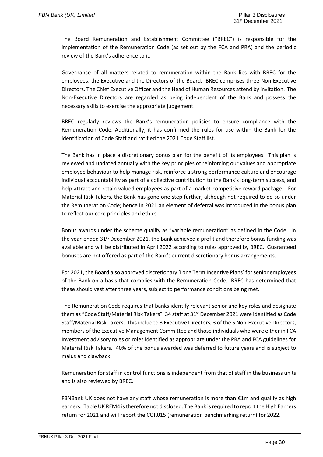The Board Remuneration and Establishment Committee ("BREC") is responsible for the implementation of the Remuneration Code (as set out by the FCA and PRA) and the periodic review of the Bank's adherence to it.

Governance of all matters related to remuneration within the Bank lies with BREC for the employees, the Executive and the Directors of the Board. BREC comprises three Non-Executive Directors. The Chief Executive Officer and the Head of Human Resources attend by invitation. The Non-Executive Directors are regarded as being independent of the Bank and possess the necessary skills to exercise the appropriate judgement.

BREC regularly reviews the Bank's remuneration policies to ensure compliance with the Remuneration Code. Additionally, it has confirmed the rules for use within the Bank for the identification of Code Staff and ratified the 2021 Code Staff list.

The Bank has in place a discretionary bonus plan for the benefit of its employees. This plan is reviewed and updated annually with the key principles of reinforcing our values and appropriate employee behaviour to help manage risk, reinforce a strong performance culture and encourage individual accountability as part of a collective contribution to the Bank's long-term success, and help attract and retain valued employees as part of a market-competitive reward package. For Material Risk Takers, the Bank has gone one step further, although not required to do so under the Remuneration Code; hence in 2021 an element of deferral was introduced in the bonus plan to reflect our core principles and ethics.

Bonus awards under the scheme qualify as "variable remuneration" as defined in the Code. In the year-ended 31<sup>st</sup> December 2021, the Bank achieved a profit and therefore bonus funding was available and will be distributed in April 2022 according to rules approved by BREC. Guaranteed bonuses are not offered as part of the Bank's current discretionary bonus arrangements.

For 2021, the Board also approved discretionary 'Long Term Incentive Plans' for senior employees of the Bank on a basis that complies with the Remuneration Code. BREC has determined that these should vest after three years, subject to performance conditions being met.

The Remuneration Code requires that banks identify relevant senior and key roles and designate them as "Code Staff/Material Risk Takers". 34 staff at 31<sup>st</sup> December 2021 were identified as Code Staff/Material Risk Takers. This included 3 Executive Directors, 3 of the 5 Non-Executive Directors, members of the Executive Management Committee and those individuals who were either in FCA Investment advisory roles or roles identified as appropriate under the PRA and FCA guidelines for Material Risk Takers. 40% of the bonus awarded was deferred to future years and is subject to malus and clawback.

Remuneration for staff in control functions is independent from that of staff in the business units and is also reviewed by BREC.

FBNBank UK does not have any staff whose remuneration is more than  $\epsilon$ 1m and qualify as high earners. Table UK REM4 is therefore not disclosed. The Bank is required to report the High Earners return for 2021 and will report the COR015 (remuneration benchmarking return) for 2022.